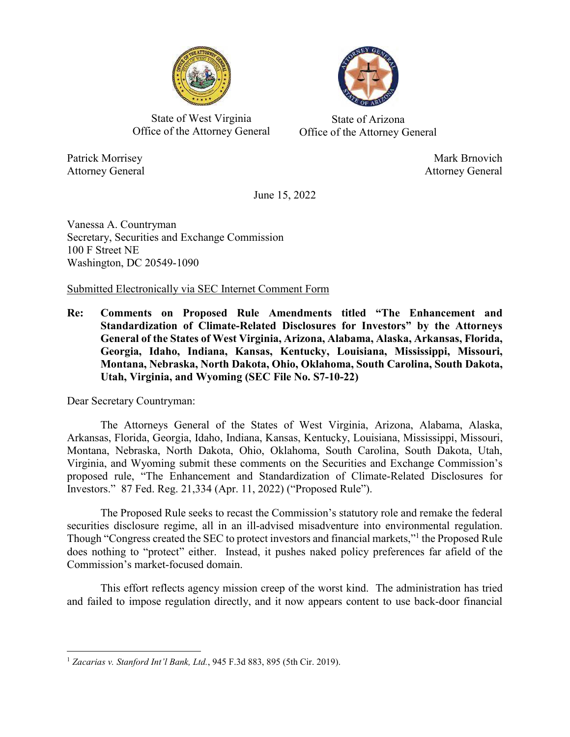

State of West Virginia Office of the Attorney General

State of Arizona Office of the Attorney General

Attorney General Attorney General

Patrick Morrisey Mark Brnovich

June 15, 2022

Vanessa A. Countryman Secretary, Securities and Exchange Commission 100 F Street NE Washington, DC 20549-1090

Submitted Electronically via SEC Internet Comment Form

**Re: Comments on Proposed Rule Amendments titled "The Enhancement and Standardization of Climate-Related Disclosures for Investors" by the Attorneys General of the States of West Virginia, Arizona, Alabama, Alaska, Arkansas, Florida, Georgia, Idaho, Indiana, Kansas, Kentucky, Louisiana, Mississippi, Missouri, Montana, Nebraska, North Dakota, Ohio, Oklahoma, South Carolina, South Dakota, Utah, Virginia, and Wyoming (SEC File No. S7-10-22)** 

Dear Secretary Countryman:

The Attorneys General of the States of West Virginia, Arizona, Alabama, Alaska, Arkansas, Florida, Georgia, Idaho, Indiana, Kansas, Kentucky, Louisiana, Mississippi, Missouri, Montana, Nebraska, North Dakota, Ohio, Oklahoma, South Carolina, South Dakota, Utah, Virginia, and Wyoming submit these comments on the Securities and Exchange Commission's proposed rule, "The Enhancement and Standardization of Climate-Related Disclosures for Investors." 87 Fed. Reg. 21,334 (Apr. 11, 2022) ("Proposed Rule").

The Proposed Rule seeks to recast the Commission's statutory role and remake the federal securities disclosure regime, all in an ill-advised misadventure into environmental regulation. Though "Congress created the SEC to protect investors and financial markets,"<sup>1</sup> the Proposed Rule does nothing to "protect" either. Instead, it pushes naked policy preferences far afield of the Commission's market-focused domain.

This effort reflects agency mission creep of the worst kind. The administration has tried and failed to impose regulation directly, and it now appears content to use back-door financial

<sup>1</sup> *Zacarias v. Stanford Int'l Bank, Ltd.*, 945 F.3d 883, 895 (5th Cir. 2019).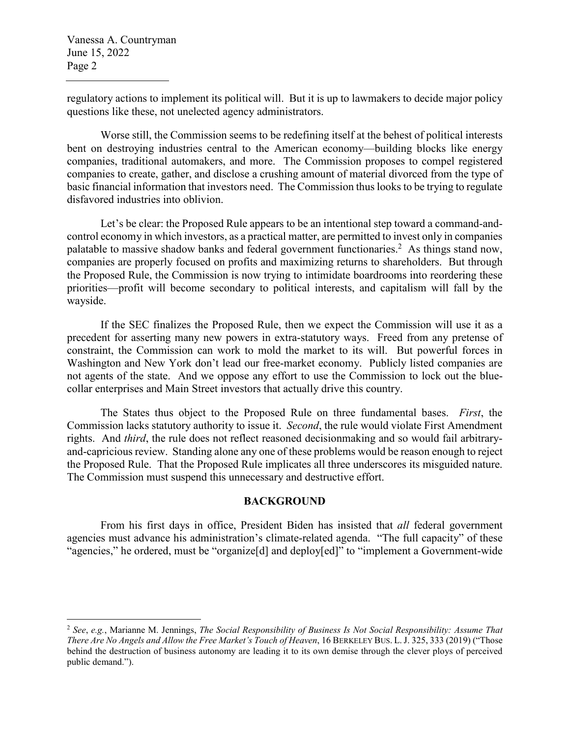regulatory actions to implement its political will. But it is up to lawmakers to decide major policy questions like these, not unelected agency administrators.

Worse still, the Commission seems to be redefining itself at the behest of political interests bent on destroying industries central to the American economy—building blocks like energy companies, traditional automakers, and more. The Commission proposes to compel registered companies to create, gather, and disclose a crushing amount of material divorced from the type of basic financial information that investors need. The Commission thus looks to be trying to regulate disfavored industries into oblivion.

Let's be clear: the Proposed Rule appears to be an intentional step toward a command-andcontrol economy in which investors, as a practical matter, are permitted to invest only in companies palatable to massive shadow banks and federal government functionaries.<sup>2</sup> As things stand now, companies are properly focused on profits and maximizing returns to shareholders. But through the Proposed Rule, the Commission is now trying to intimidate boardrooms into reordering these priorities—profit will become secondary to political interests, and capitalism will fall by the wayside.

If the SEC finalizes the Proposed Rule, then we expect the Commission will use it as a precedent for asserting many new powers in extra-statutory ways. Freed from any pretense of constraint, the Commission can work to mold the market to its will. But powerful forces in Washington and New York don't lead our free-market economy. Publicly listed companies are not agents of the state. And we oppose any effort to use the Commission to lock out the bluecollar enterprises and Main Street investors that actually drive this country.

The States thus object to the Proposed Rule on three fundamental bases. *First*, the Commission lacks statutory authority to issue it. *Second*, the rule would violate First Amendment rights. And *third*, the rule does not reflect reasoned decisionmaking and so would fail arbitraryand-capricious review. Standing alone any one of these problems would be reason enough to reject the Proposed Rule. That the Proposed Rule implicates all three underscores its misguided nature. The Commission must suspend this unnecessary and destructive effort.

### **BACKGROUND**

From his first days in office, President Biden has insisted that *all* federal government agencies must advance his administration's climate-related agenda. "The full capacity" of these "agencies," he ordered, must be "organize[d] and deploy[ed]" to "implement a Government-wide

<sup>2</sup> *See*, *e.g.*, Marianne M. Jennings, *The Social Responsibility of Business Is Not Social Responsibility: Assume That There Are No Angels and Allow the Free Market's Touch of Heaven*, 16 BERKELEY BUS. L. J. 325, 333 (2019) ("Those behind the destruction of business autonomy are leading it to its own demise through the clever ploys of perceived public demand.").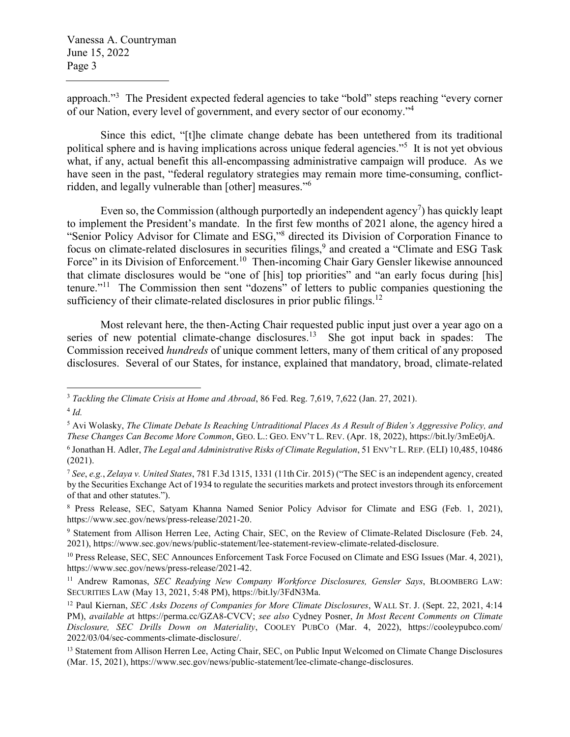approach."<sup>3</sup> The President expected federal agencies to take "bold" steps reaching "every corner of our Nation, every level of government, and every sector of our economy."<sup>4</sup>

Since this edict, "[t]he climate change debate has been untethered from its traditional political sphere and is having implications across unique federal agencies."<sup>5</sup> It is not yet obvious what, if any, actual benefit this all-encompassing administrative campaign will produce. As we have seen in the past, "federal regulatory strategies may remain more time-consuming, conflictridden, and legally vulnerable than [other] measures."<sup>6</sup>

Even so, the Commission (although purportedly an independent agency<sup>7</sup>) has quickly leapt to implement the President's mandate. In the first few months of 2021 alone, the agency hired a "Senior Policy Advisor for Climate and ESG,"8 directed its Division of Corporation Finance to focus on climate-related disclosures in securities filings,<sup>9</sup> and created a "Climate and ESG Task Force" in its Division of Enforcement.<sup>10</sup> Then-incoming Chair Gary Gensler likewise announced that climate disclosures would be "one of [his] top priorities" and "an early focus during [his] tenure."<sup>11</sup> The Commission then sent "dozens" of letters to public companies questioning the sufficiency of their climate-related disclosures in prior public filings.<sup>12</sup>

Most relevant here, the then-Acting Chair requested public input just over a year ago on a series of new potential climate-change disclosures.<sup>13</sup> She got input back in spades: The Commission received *hundreds* of unique comment letters, many of them critical of any proposed disclosures. Several of our States, for instance, explained that mandatory, broad, climate-related

<sup>3</sup> *Tackling the Climate Crisis at Home and Abroad*, 86 Fed. Reg. 7,619, 7,622 (Jan. 27, 2021).

<sup>4</sup> *Id.*

<sup>5</sup> Avi Wolasky, *The Climate Debate Is Reaching Untraditional Places As A Result of Biden's Aggressive Policy, and These Changes Can Become More Common*, GEO. L.: GEO. ENV'T L. REV. (Apr. 18, 2022), https://bit.ly/3mEe0jA.

<sup>6</sup> Jonathan H. Adler, *The Legal and Administrative Risks of Climate Regulation*, 51 ENV'T L. REP. (ELI) 10,485, 10486 (2021).

<sup>7</sup> *See*, *e.g.*, *Zelaya v. United States*, 781 F.3d 1315, 1331 (11th Cir. 2015) ("The SEC is an independent agency, created by the Securities Exchange Act of 1934 to regulate the securities markets and protect investors through its enforcement of that and other statutes.").

<sup>8</sup> Press Release, SEC, Satyam Khanna Named Senior Policy Advisor for Climate and ESG (Feb. 1, 2021), https://www.sec.gov/news/press-release/2021-20.

<sup>&</sup>lt;sup>9</sup> Statement from Allison Herren Lee, Acting Chair, SEC, on the Review of Climate-Related Disclosure (Feb. 24, 2021), https://www.sec.gov/news/public-statement/lee-statement-review-climate-related-disclosure.

<sup>&</sup>lt;sup>10</sup> Press Release, SEC, SEC Announces Enforcement Task Force Focused on Climate and ESG Issues (Mar. 4, 2021), https://www.sec.gov/news/press-release/2021-42.

<sup>&</sup>lt;sup>11</sup> Andrew Ramonas, *SEC Readying New Company Workforce Disclosures*, *Gensler Says*, BLOOMBERG LAW: SECURITIES LAW (May 13, 2021, 5:48 PM), https://bit.ly/3FdN3Ma.

<sup>12</sup> Paul Kiernan, *SEC Asks Dozens of Companies for More Climate Disclosures*, WALL ST. J. (Sept. 22, 2021, 4:14 PM), *available a*t https://perma.cc/GZA8-CVCV; *see also* Cydney Posner, *In Most Recent Comments on Climate Disclosure, SEC Drills Down on Materiality*, COOLEY PUBCO (Mar. 4, 2022), https://cooleypubco.com/ 2022/03/04/sec-comments-climate-disclosure/.

<sup>&</sup>lt;sup>13</sup> Statement from Allison Herren Lee, Acting Chair, SEC, on Public Input Welcomed on Climate Change Disclosures (Mar. 15, 2021), https://www.sec.gov/news/public-statement/lee-climate-change-disclosures.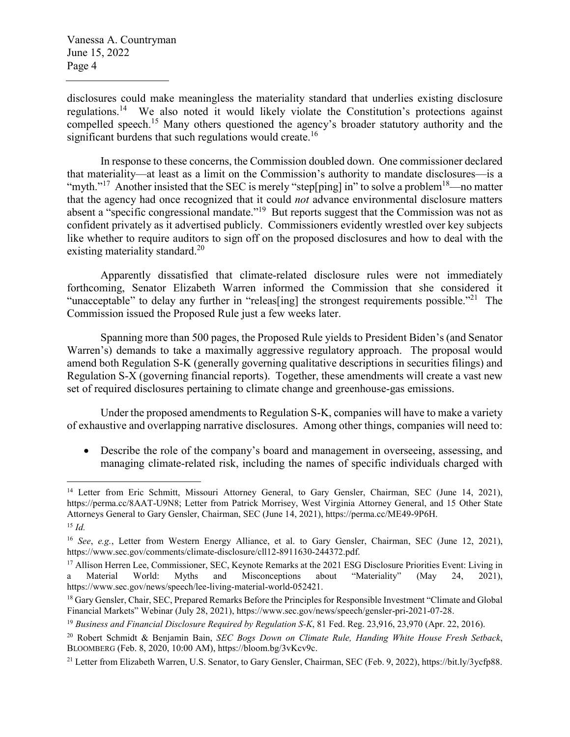disclosures could make meaningless the materiality standard that underlies existing disclosure regulations.<sup>14</sup> We also noted it would likely violate the Constitution's protections against compelled speech.<sup>15</sup> Many others questioned the agency's broader statutory authority and the significant burdens that such regulations would create.<sup>16</sup>

In response to these concerns, the Commission doubled down. One commissioner declared that materiality—at least as a limit on the Commission's authority to mandate disclosures—is a "myth."<sup>17</sup> Another insisted that the SEC is merely "step[ping] in" to solve a problem<sup>18</sup>—no matter that the agency had once recognized that it could *not* advance environmental disclosure matters absent a "specific congressional mandate."<sup>19</sup> But reports suggest that the Commission was not as confident privately as it advertised publicly. Commissioners evidently wrestled over key subjects like whether to require auditors to sign off on the proposed disclosures and how to deal with the existing materiality standard.<sup>20</sup>

Apparently dissatisfied that climate-related disclosure rules were not immediately forthcoming, Senator Elizabeth Warren informed the Commission that she considered it "unacceptable" to delay any further in "releas [ing] the strongest requirements possible."<sup>21</sup> The Commission issued the Proposed Rule just a few weeks later.

Spanning more than 500 pages, the Proposed Rule yields to President Biden's (and Senator Warren's) demands to take a maximally aggressive regulatory approach. The proposal would amend both Regulation S-K (generally governing qualitative descriptions in securities filings) and Regulation S-X (governing financial reports). Together, these amendments will create a vast new set of required disclosures pertaining to climate change and greenhouse-gas emissions.

Under the proposed amendments to Regulation S-K, companies will have to make a variety of exhaustive and overlapping narrative disclosures. Among other things, companies will need to:

 Describe the role of the company's board and management in overseeing, assessing, and managing climate-related risk, including the names of specific individuals charged with

<sup>&</sup>lt;sup>14</sup> Letter from Eric Schmitt, Missouri Attorney General, to Gary Gensler, Chairman, SEC (June 14, 2021), https://perma.cc/8AAT-U9N8; Letter from Patrick Morrisey, West Virginia Attorney General, and 15 Other State Attorneys General to Gary Gensler, Chairman, SEC (June 14, 2021), https://perma.cc/ME49-9P6H. <sup>15</sup> *Id.*

<sup>16</sup> *See*, *e.g.*, Letter from Western Energy Alliance, et al. to Gary Gensler, Chairman, SEC (June 12, 2021), https://www.sec.gov/comments/climate-disclosure/cll12-8911630-244372.pdf.

<sup>&</sup>lt;sup>17</sup> Allison Herren Lee, Commissioner, SEC, Keynote Remarks at the 2021 ESG Disclosure Priorities Event: Living in a Material World: Myths and Misconceptions about "Materiality" (May 24, 2021), https://www.sec.gov/news/speech/lee-living-material-world-052421.

<sup>&</sup>lt;sup>18</sup> Gary Gensler, Chair, SEC, Prepared Remarks Before the Principles for Responsible Investment "Climate and Global Financial Markets" Webinar (July 28, 2021), https://www.sec.gov/news/speech/gensler-pri-2021-07-28.

<sup>19</sup> *Business and Financial Disclosure Required by Regulation S-K*, 81 Fed. Reg. 23,916, 23,970 (Apr. 22, 2016).

<sup>20</sup> Robert Schmidt & Benjamin Bain, *SEC Bogs Down on Climate Rule, Handing White House Fresh Setback*, BLOOMBERG (Feb. 8, 2020, 10:00 AM), https://bloom.bg/3vKcv9c.

<sup>&</sup>lt;sup>21</sup> Letter from Elizabeth Warren, U.S. Senator, to Gary Gensler, Chairman, SEC (Feb. 9, 2022), https://bit.ly/3ycfp88.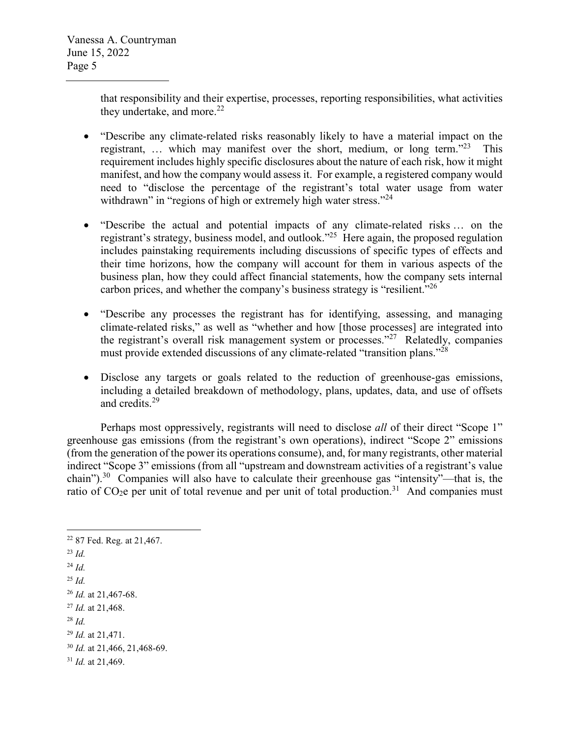that responsibility and their expertise, processes, reporting responsibilities, what activities they undertake, and more. $^{22}$ 

- "Describe any climate-related risks reasonably likely to have a material impact on the registrant, ... which may manifest over the short, medium, or long term.<sup>323</sup> This requirement includes highly specific disclosures about the nature of each risk, how it might manifest, and how the company would assess it. For example, a registered company would need to "disclose the percentage of the registrant's total water usage from water withdrawn" in "regions of high or extremely high water stress."<sup>24</sup>
- "Describe the actual and potential impacts of any climate-related risks … on the registrant's strategy, business model, and outlook."<sup>25</sup> Here again, the proposed regulation includes painstaking requirements including discussions of specific types of effects and their time horizons, how the company will account for them in various aspects of the business plan, how they could affect financial statements, how the company sets internal carbon prices, and whether the company's business strategy is "resilient."<sup>26</sup>
- "Describe any processes the registrant has for identifying, assessing, and managing climate-related risks," as well as "whether and how [those processes] are integrated into the registrant's overall risk management system or processes."<sup>27</sup> Relatedly, companies must provide extended discussions of any climate-related "transition plans."<sup>28</sup>
- Disclose any targets or goals related to the reduction of greenhouse-gas emissions, including a detailed breakdown of methodology, plans, updates, data, and use of offsets and credits.<sup>29</sup>

Perhaps most oppressively, registrants will need to disclose *all* of their direct "Scope 1" greenhouse gas emissions (from the registrant's own operations), indirect "Scope 2" emissions (from the generation of the power its operations consume), and, for many registrants, other material indirect "Scope 3" emissions (from all "upstream and downstream activities of a registrant's value chain").<sup>30</sup> Companies will also have to calculate their greenhouse gas "intensity"—that is, the ratio of  $CO<sub>2</sub>e$  per unit of total revenue and per unit of total production.<sup>31</sup> And companies must

<sup>22</sup> 87 Fed. Reg. at 21,467. <sup>23</sup> *Id.* <sup>24</sup> *Id.* <sup>25</sup> *Id.* <sup>26</sup> *Id.* at 21,467-68. <sup>27</sup> *Id.* at 21,468. <sup>28</sup> *Id.* <sup>29</sup> *Id.* at 21,471. <sup>30</sup> *Id.* at 21,466, 21,468-69. <sup>31</sup> *Id.* at 21,469.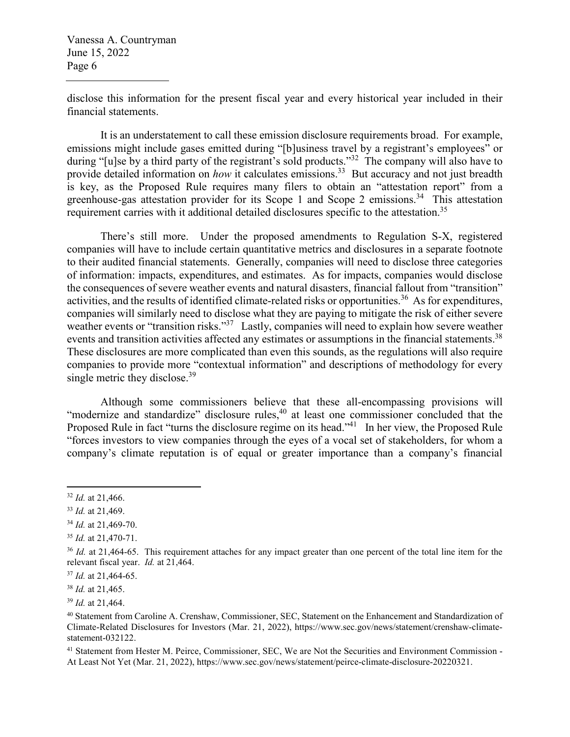disclose this information for the present fiscal year and every historical year included in their financial statements.

It is an understatement to call these emission disclosure requirements broad. For example, emissions might include gases emitted during "[b]usiness travel by a registrant's employees" or during "[u]se by a third party of the registrant's sold products."<sup>32</sup> The company will also have to provide detailed information on *how* it calculates emissions.<sup>33</sup> But accuracy and not just breadth is key, as the Proposed Rule requires many filers to obtain an "attestation report" from a greenhouse-gas attestation provider for its Scope 1 and Scope 2 emissions.<sup>34</sup> This attestation requirement carries with it additional detailed disclosures specific to the attestation.<sup>35</sup>

There's still more. Under the proposed amendments to Regulation S-X, registered companies will have to include certain quantitative metrics and disclosures in a separate footnote to their audited financial statements. Generally, companies will need to disclose three categories of information: impacts, expenditures, and estimates. As for impacts, companies would disclose the consequences of severe weather events and natural disasters, financial fallout from "transition" activities, and the results of identified climate-related risks or opportunities.<sup>36</sup> As for expenditures, companies will similarly need to disclose what they are paying to mitigate the risk of either severe weather events or "transition risks."<sup>37</sup> Lastly, companies will need to explain how severe weather events and transition activities affected any estimates or assumptions in the financial statements.<sup>38</sup> These disclosures are more complicated than even this sounds, as the regulations will also require companies to provide more "contextual information" and descriptions of methodology for every single metric they disclose.<sup>39</sup>

Although some commissioners believe that these all-encompassing provisions will "modernize and standardize" disclosure rules,<sup>40</sup> at least one commissioner concluded that the Proposed Rule in fact "turns the disclosure regime on its head."<sup>41</sup> In her view, the Proposed Rule "forces investors to view companies through the eyes of a vocal set of stakeholders, for whom a company's climate reputation is of equal or greater importance than a company's financial

<sup>32</sup> *Id.* at 21,466.

<sup>33</sup> *Id.* at 21,469.

<sup>34</sup> *Id.* at 21,469-70.

<sup>35</sup> *Id.* at 21,470-71.

<sup>&</sup>lt;sup>36</sup> *Id.* at 21,464-65. This requirement attaches for any impact greater than one percent of the total line item for the relevant fiscal year. *Id.* at 21,464.

<sup>37</sup> *Id.* at 21,464-65.

<sup>38</sup> *Id.* at 21,465.

<sup>39</sup> *Id.* at 21,464.

<sup>40</sup> Statement from Caroline A. Crenshaw, Commissioner, SEC, Statement on the Enhancement and Standardization of Climate-Related Disclosures for Investors (Mar. 21, 2022), https://www.sec.gov/news/statement/crenshaw-climatestatement-032122.

<sup>&</sup>lt;sup>41</sup> Statement from Hester M. Peirce, Commissioner, SEC, We are Not the Securities and Environment Commission -At Least Not Yet (Mar. 21, 2022), https://www.sec.gov/news/statement/peirce-climate-disclosure-20220321.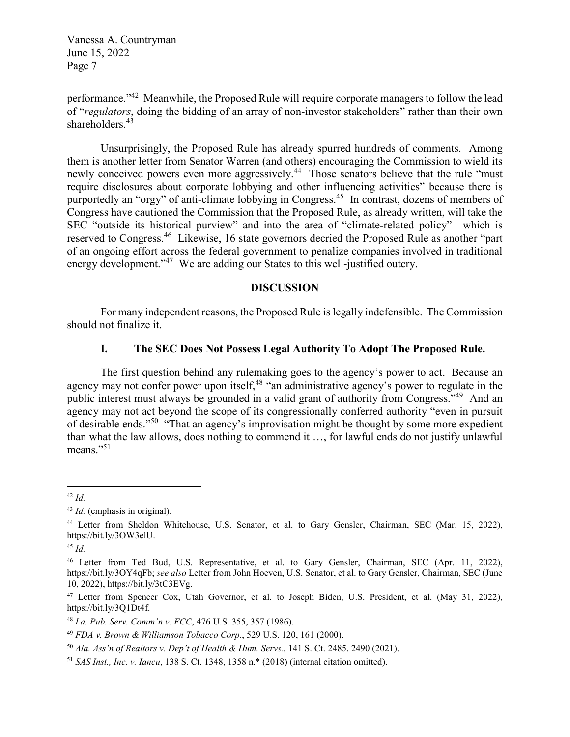performance."<sup>42</sup> Meanwhile, the Proposed Rule will require corporate managers to follow the lead of "*regulators*, doing the bidding of an array of non-investor stakeholders" rather than their own shareholders.<sup>43</sup>

Unsurprisingly, the Proposed Rule has already spurred hundreds of comments. Among them is another letter from Senator Warren (and others) encouraging the Commission to wield its newly conceived powers even more aggressively.<sup>44</sup> Those senators believe that the rule "must" require disclosures about corporate lobbying and other influencing activities" because there is purportedly an "orgy" of anti-climate lobbying in Congress.<sup>45</sup> In contrast, dozens of members of Congress have cautioned the Commission that the Proposed Rule, as already written, will take the SEC "outside its historical purview" and into the area of "climate-related policy"—which is reserved to Congress.<sup>46</sup> Likewise, 16 state governors decried the Proposed Rule as another "part of an ongoing effort across the federal government to penalize companies involved in traditional energy development."<sup>47</sup> We are adding our States to this well-justified outcry.

#### **DISCUSSION**

For many independent reasons, the Proposed Rule is legally indefensible. The Commission should not finalize it.

#### **I. The SEC Does Not Possess Legal Authority To Adopt The Proposed Rule.**

The first question behind any rulemaking goes to the agency's power to act. Because an agency may not confer power upon itself,<sup>48</sup> "an administrative agency's power to regulate in the public interest must always be grounded in a valid grant of authority from Congress."<sup>49</sup> And an agency may not act beyond the scope of its congressionally conferred authority "even in pursuit of desirable ends."<sup>50</sup> "That an agency's improvisation might be thought by some more expedient than what the law allows, does nothing to commend it …, for lawful ends do not justify unlawful means."<sup>51</sup>

<sup>42</sup> *Id.*

<sup>43</sup> *Id.* (emphasis in original).

<sup>44</sup> Letter from Sheldon Whitehouse, U.S. Senator, et al. to Gary Gensler, Chairman, SEC (Mar. 15, 2022), https://bit.ly/3OW3elU.

<sup>45</sup> *Id.*

<sup>46</sup> Letter from Ted Bud, U.S. Representative, et al. to Gary Gensler, Chairman, SEC (Apr. 11, 2022), https://bit.ly/3OY4qFb; *see also* Letter from John Hoeven, U.S. Senator, et al. to Gary Gensler, Chairman, SEC (June 10, 2022), https://bit.ly/3tC3EVg.

<sup>47</sup> Letter from Spencer Cox, Utah Governor, et al. to Joseph Biden, U.S. President, et al. (May 31, 2022), https://bit.ly/3Q1Dt4f.

<sup>48</sup> *La. Pub. Serv. Comm'n v. FCC*, 476 U.S. 355, 357 (1986).

<sup>49</sup> *FDA v. Brown & Williamson Tobacco Corp.*, 529 U.S. 120, 161 (2000).

<sup>50</sup> *Ala. Ass'n of Realtors v. Dep't of Health & Hum. Servs.*, 141 S. Ct. 2485, 2490 (2021).

<sup>51</sup> *SAS Inst., Inc. v. Iancu*, 138 S. Ct. 1348, 1358 n.\* (2018) (internal citation omitted).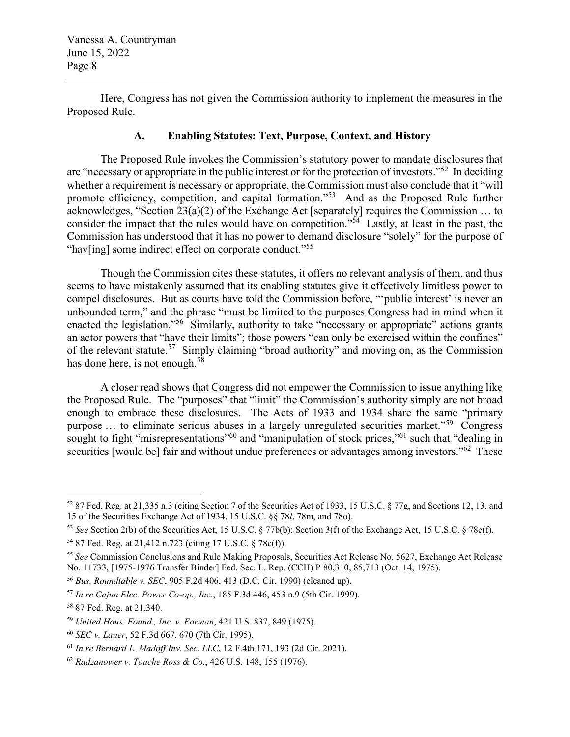Here, Congress has not given the Commission authority to implement the measures in the Proposed Rule.

## **A. Enabling Statutes: Text, Purpose, Context, and History**

The Proposed Rule invokes the Commission's statutory power to mandate disclosures that are "necessary or appropriate in the public interest or for the protection of investors."<sup>52</sup> In deciding whether a requirement is necessary or appropriate, the Commission must also conclude that it "will promote efficiency, competition, and capital formation.<sup>55</sup> And as the Proposed Rule further acknowledges, "Section 23(a)(2) of the Exchange Act [separately] requires the Commission … to consider the impact that the rules would have on competition."<sup>54</sup> Lastly, at least in the past, the Commission has understood that it has no power to demand disclosure "solely" for the purpose of "hav[ing] some indirect effect on corporate conduct."<sup>55</sup>

Though the Commission cites these statutes, it offers no relevant analysis of them, and thus seems to have mistakenly assumed that its enabling statutes give it effectively limitless power to compel disclosures. But as courts have told the Commission before, "'public interest' is never an unbounded term," and the phrase "must be limited to the purposes Congress had in mind when it enacted the legislation."<sup>56</sup> Similarly, authority to take "necessary or appropriate" actions grants an actor powers that "have their limits"; those powers "can only be exercised within the confines" of the relevant statute.<sup>57</sup> Simply claiming "broad authority" and moving on, as the Commission has done here, is not enough.<sup>58</sup>

A closer read shows that Congress did not empower the Commission to issue anything like the Proposed Rule. The "purposes" that "limit" the Commission's authority simply are not broad enough to embrace these disclosures. The Acts of 1933 and 1934 share the same "primary purpose … to eliminate serious abuses in a largely unregulated securities market."<sup>59</sup> Congress sought to fight "misrepresentations"<sup>60</sup> and "manipulation of stock prices,"<sup>61</sup> such that "dealing in securities [would be] fair and without undue preferences or advantages among investors."<sup>62</sup> These

<sup>52</sup> 87 Fed. Reg. at 21,335 n.3 (citing Section 7 of the Securities Act of 1933, 15 U.S.C. § 77g, and Sections 12, 13, and 15 of the Securities Exchange Act of 1934, 15 U.S.C. §§ 78*l*, 78m, and 78o).

<sup>53</sup> *See* Section 2(b) of the Securities Act, 15 U.S.C. § 77b(b); Section 3(f) of the Exchange Act, 15 U.S.C. § 78c(f).

<sup>54</sup> 87 Fed. Reg. at 21,412 n.723 (citing 17 U.S.C. § 78c(f)).

<sup>55</sup> *See* Commission Conclusions and Rule Making Proposals, Securities Act Release No. 5627, Exchange Act Release No. 11733, [1975-1976 Transfer Binder] Fed. Sec. L. Rep. (CCH) P 80,310, 85,713 (Oct. 14, 1975).

<sup>56</sup> *Bus. Roundtable v. SEC*, 905 F.2d 406, 413 (D.C. Cir. 1990) (cleaned up).

<sup>57</sup> *In re Cajun Elec. Power Co-op., Inc.*, 185 F.3d 446, 453 n.9 (5th Cir. 1999).

<sup>58</sup> 87 Fed. Reg. at 21,340.

<sup>59</sup> *United Hous. Found., Inc. v. Forman*, 421 U.S. 837, 849 (1975).

<sup>60</sup> *SEC v. Lauer*, 52 F.3d 667, 670 (7th Cir. 1995).

<sup>61</sup> *In re Bernard L. Madoff Inv. Sec. LLC*, 12 F.4th 171, 193 (2d Cir. 2021).

<sup>62</sup> *Radzanower v. Touche Ross & Co.*, 426 U.S. 148, 155 (1976).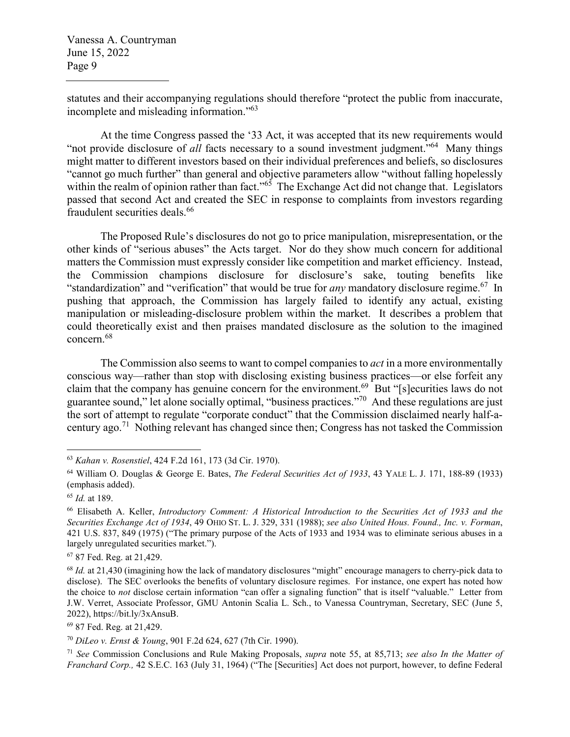statutes and their accompanying regulations should therefore "protect the public from inaccurate, incomplete and misleading information."<sup>63</sup>

At the time Congress passed the '33 Act, it was accepted that its new requirements would "not provide disclosure of *all* facts necessary to a sound investment judgment."<sup>64</sup> Many things might matter to different investors based on their individual preferences and beliefs, so disclosures "cannot go much further" than general and objective parameters allow "without falling hopelessly within the realm of opinion rather than fact."<sup>65</sup> The Exchange Act did not change that. Legislators passed that second Act and created the SEC in response to complaints from investors regarding fraudulent securities deals.<sup>66</sup>

The Proposed Rule's disclosures do not go to price manipulation, misrepresentation, or the other kinds of "serious abuses" the Acts target. Nor do they show much concern for additional matters the Commission must expressly consider like competition and market efficiency. Instead, the Commission champions disclosure for disclosure's sake, touting benefits like "standardization" and "verification" that would be true for *any* mandatory disclosure regime.<sup>67</sup> In pushing that approach, the Commission has largely failed to identify any actual, existing manipulation or misleading-disclosure problem within the market. It describes a problem that could theoretically exist and then praises mandated disclosure as the solution to the imagined concern.<sup>68</sup>

The Commission also seems to want to compel companies to *act* in a more environmentally conscious way—rather than stop with disclosing existing business practices—or else forfeit any claim that the company has genuine concern for the environment.<sup>69</sup> But "[s]ecurities laws do not guarantee sound," let alone socially optimal, "business practices."<sup>70</sup> And these regulations are just the sort of attempt to regulate "corporate conduct" that the Commission disclaimed nearly half-acentury ago.<sup>71</sup> Nothing relevant has changed since then; Congress has not tasked the Commission

<sup>69</sup> 87 Fed. Reg. at 21,429.

<sup>63</sup> *Kahan v. Rosenstiel*, 424 F.2d 161, 173 (3d Cir. 1970).

<sup>64</sup> William O. Douglas & George E. Bates, *The Federal Securities Act of 1933*, 43 YALE L. J. 171, 188-89 (1933) (emphasis added).

<sup>65</sup> *Id.* at 189.

<sup>66</sup> Elisabeth A. Keller, *Introductory Comment: A Historical Introduction to the Securities Act of 1933 and the Securities Exchange Act of 1934*, 49 OHIO ST. L. J. 329, 331 (1988); *see also United Hous. Found., Inc. v. Forman*, 421 U.S. 837, 849 (1975) ("The primary purpose of the Acts of 1933 and 1934 was to eliminate serious abuses in a largely unregulated securities market.").

<sup>67</sup> 87 Fed. Reg. at 21,429.

<sup>68</sup> *Id.* at 21,430 (imagining how the lack of mandatory disclosures "might" encourage managers to cherry-pick data to disclose). The SEC overlooks the benefits of voluntary disclosure regimes. For instance, one expert has noted how the choice to *not* disclose certain information "can offer a signaling function" that is itself "valuable." Letter from J.W. Verret, Associate Professor, GMU Antonin Scalia L. Sch., to Vanessa Countryman, Secretary, SEC (June 5, 2022), https://bit.ly/3xAnsuB.

<sup>70</sup> *DiLeo v. Ernst & Young*, 901 F.2d 624, 627 (7th Cir. 1990).

<sup>71</sup> *See* Commission Conclusions and Rule Making Proposals, *supra* note 55, at 85,713; *see also In the Matter of Franchard Corp.,* 42 S.E.C. 163 (July 31, 1964) ("The [Securities] Act does not purport, however, to define Federal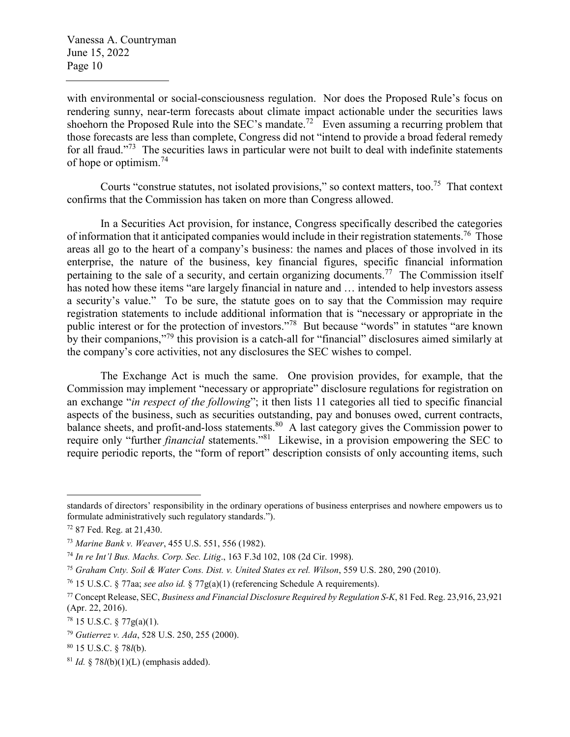with environmental or social-consciousness regulation. Nor does the Proposed Rule's focus on rendering sunny, near-term forecasts about climate impact actionable under the securities laws shoehorn the Proposed Rule into the SEC's mandate.<sup>72</sup> Even assuming a recurring problem that those forecasts are less than complete, Congress did not "intend to provide a broad federal remedy for all fraud."<sup>73</sup> The securities laws in particular were not built to deal with indefinite statements of hope or optimism.<sup>74</sup>

Courts "construe statutes, not isolated provisions," so context matters, too.<sup>75</sup> That context confirms that the Commission has taken on more than Congress allowed.

In a Securities Act provision, for instance, Congress specifically described the categories of information that it anticipated companies would include in their registration statements.<sup>76</sup> Those areas all go to the heart of a company's business: the names and places of those involved in its enterprise, the nature of the business, key financial figures, specific financial information pertaining to the sale of a security, and certain organizing documents.<sup>77</sup> The Commission itself has noted how these items "are largely financial in nature and … intended to help investors assess a security's value." To be sure, the statute goes on to say that the Commission may require registration statements to include additional information that is "necessary or appropriate in the public interest or for the protection of investors."<sup>78</sup> But because "words" in statutes "are known by their companions,"<sup>79</sup> this provision is a catch-all for "financial" disclosures aimed similarly at the company's core activities, not any disclosures the SEC wishes to compel.

The Exchange Act is much the same. One provision provides, for example, that the Commission may implement "necessary or appropriate" disclosure regulations for registration on an exchange "*in respect of the following*"; it then lists 11 categories all tied to specific financial aspects of the business, such as securities outstanding, pay and bonuses owed, current contracts, balance sheets, and profit-and-loss statements.<sup>80</sup> A last category gives the Commission power to require only "further *financial* statements."<sup>81</sup> Likewise, in a provision empowering the SEC to require periodic reports, the "form of report" description consists of only accounting items, such

standards of directors' responsibility in the ordinary operations of business enterprises and nowhere empowers us to formulate administratively such regulatory standards.").

<sup>72</sup> 87 Fed. Reg. at 21,430.

<sup>73</sup> *Marine Bank v. Weaver*, 455 U.S. 551, 556 (1982).

<sup>74</sup> *In re Int'l Bus. Machs. Corp. Sec. Litig*., 163 F.3d 102, 108 (2d Cir. 1998).

<sup>75</sup> *Graham Cnty. Soil & Water Cons. Dist. v. United States ex rel. Wilson*, 559 U.S. 280, 290 (2010).

<sup>76</sup> 15 U.S.C. § 77aa; *see also id.* § 77g(a)(1) (referencing Schedule A requirements).

<sup>77</sup> Concept Release, SEC, *Business and Financial Disclosure Required by Regulation S-K*, 81 Fed. Reg. 23,916, 23,921 (Apr. 22, 2016).

 $^{78}$  15 U.S.C. § 77g(a)(1).

<sup>79</sup> *Gutierrez v. Ada*, 528 U.S. 250, 255 (2000).

<sup>80</sup> 15 U.S.C. § 78*l*(b).

<sup>81</sup> *Id.* § 78*l*(b)(1)(L) (emphasis added).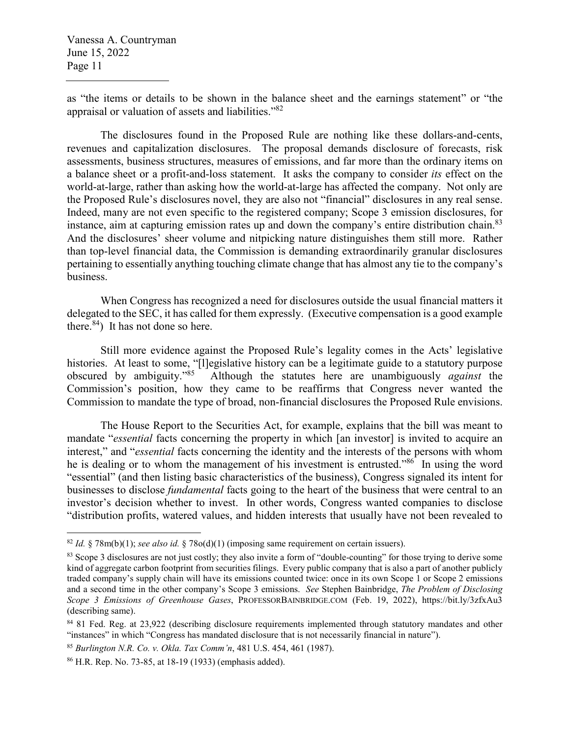as "the items or details to be shown in the balance sheet and the earnings statement" or "the appraisal or valuation of assets and liabilities."<sup>82</sup>

The disclosures found in the Proposed Rule are nothing like these dollars-and-cents, revenues and capitalization disclosures. The proposal demands disclosure of forecasts, risk assessments, business structures, measures of emissions, and far more than the ordinary items on a balance sheet or a profit-and-loss statement. It asks the company to consider *its* effect on the world-at-large, rather than asking how the world-at-large has affected the company. Not only are the Proposed Rule's disclosures novel, they are also not "financial" disclosures in any real sense. Indeed, many are not even specific to the registered company; Scope 3 emission disclosures, for instance, aim at capturing emission rates up and down the company's entire distribution chain.<sup>83</sup> And the disclosures' sheer volume and nitpicking nature distinguishes them still more. Rather than top-level financial data, the Commission is demanding extraordinarily granular disclosures pertaining to essentially anything touching climate change that has almost any tie to the company's business.

When Congress has recognized a need for disclosures outside the usual financial matters it delegated to the SEC, it has called for them expressly. (Executive compensation is a good example there.  $84$ ) It has not done so here.

Still more evidence against the Proposed Rule's legality comes in the Acts' legislative histories. At least to some, "[l]egislative history can be a legitimate guide to a statutory purpose<br>obscured by ambiguity."<sup>85</sup> Although the statutes here are unambiguously *against* the Although the statutes here are unambiguously *against* the Commission's position, how they came to be reaffirms that Congress never wanted the Commission to mandate the type of broad, non-financial disclosures the Proposed Rule envisions.

The House Report to the Securities Act, for example, explains that the bill was meant to mandate "*essential* facts concerning the property in which [an investor] is invited to acquire an interest," and "*essential* facts concerning the identity and the interests of the persons with whom he is dealing or to whom the management of his investment is entrusted.<sup>886</sup> In using the word "essential" (and then listing basic characteristics of the business), Congress signaled its intent for businesses to disclose *fundamental* facts going to the heart of the business that were central to an investor's decision whether to invest. In other words, Congress wanted companies to disclose "distribution profits, watered values, and hidden interests that usually have not been revealed to

<sup>82</sup> *Id.* § 78m(b)(1); *see also id.* § 78o(d)(1) (imposing same requirement on certain issuers).

<sup>&</sup>lt;sup>83</sup> Scope 3 disclosures are not just costly; they also invite a form of "double-counting" for those trying to derive some kind of aggregate carbon footprint from securities filings. Every public company that is also a part of another publicly traded company's supply chain will have its emissions counted twice: once in its own Scope 1 or Scope 2 emissions and a second time in the other company's Scope 3 emissions. *See* Stephen Bainbridge, *The Problem of Disclosing Scope 3 Emissions of Greenhouse Gases*, PROFESSORBAINBRIDGE.COM (Feb. 19, 2022), https://bit.ly/3zfxAu3 (describing same).

<sup>84</sup> 81 Fed. Reg. at 23,922 (describing disclosure requirements implemented through statutory mandates and other "instances" in which "Congress has mandated disclosure that is not necessarily financial in nature").

<sup>85</sup> *Burlington N.R. Co. v. Okla. Tax Comm'n*, 481 U.S. 454, 461 (1987).

<sup>86</sup> H.R. Rep. No. 73-85, at 18-19 (1933) (emphasis added).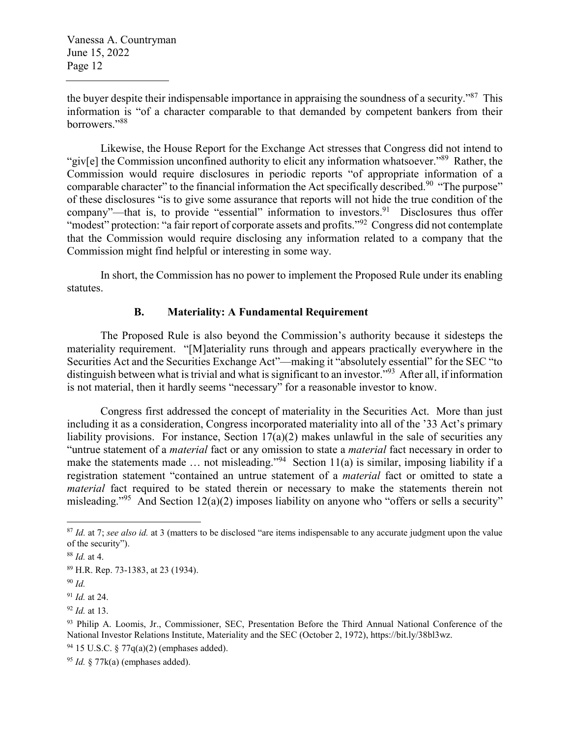the buyer despite their indispensable importance in appraising the soundness of a security."<sup>87</sup> This information is "of a character comparable to that demanded by competent bankers from their borrowers."88

Likewise, the House Report for the Exchange Act stresses that Congress did not intend to "giv[e] the Commission unconfined authority to elicit any information whatsoever."<sup>89</sup> Rather, the Commission would require disclosures in periodic reports "of appropriate information of a comparable character" to the financial information the Act specifically described.<sup>90</sup> "The purpose" of these disclosures "is to give some assurance that reports will not hide the true condition of the company"—that is, to provide "essential" information to investors.<sup>91</sup> Disclosures thus offer "modest" protection: "a fair report of corporate assets and profits."<sup>92</sup> Congress did not contemplate that the Commission would require disclosing any information related to a company that the Commission might find helpful or interesting in some way.

In short, the Commission has no power to implement the Proposed Rule under its enabling statutes.

### **B. Materiality: A Fundamental Requirement**

The Proposed Rule is also beyond the Commission's authority because it sidesteps the materiality requirement. "[M]ateriality runs through and appears practically everywhere in the Securities Act and the Securities Exchange Act"—making it "absolutely essential" for the SEC "to distinguish between what is trivial and what is significant to an investor."<sup>93</sup> After all, if information is not material, then it hardly seems "necessary" for a reasonable investor to know.

Congress first addressed the concept of materiality in the Securities Act. More than just including it as a consideration, Congress incorporated materiality into all of the '33 Act's primary liability provisions. For instance, Section  $17(a)(2)$  makes unlawful in the sale of securities any "untrue statement of a *material* fact or any omission to state a *material* fact necessary in order to make the statements made ... not misleading."<sup>94</sup> Section 11(a) is similar, imposing liability if a registration statement "contained an untrue statement of a *material* fact or omitted to state a *material* fact required to be stated therein or necessary to make the statements therein not misleading."<sup>95</sup> And Section 12(a)(2) imposes liability on anyone who "offers or sells a security"

<sup>87</sup> *Id.* at 7; *see also id.* at 3 (matters to be disclosed "are items indispensable to any accurate judgment upon the value of the security").

<sup>88</sup> *Id.* at 4.

<sup>89</sup> H.R. Rep. 73-1383, at 23 (1934).

<sup>90</sup> *Id.*

<sup>91</sup> *Id.* at 24.

<sup>92</sup> *Id.* at 13.

<sup>93</sup> Philip A. Loomis, Jr., Commissioner, SEC, Presentation Before the Third Annual National Conference of the National Investor Relations Institute, Materiality and the SEC (October 2, 1972), https://bit.ly/38bl3wz.

<sup>&</sup>lt;sup>94</sup> 15 U.S.C.  $\frac{$}{77q(a)(2)}$  (emphases added).

<sup>95</sup> *Id.* § 77k(a) (emphases added).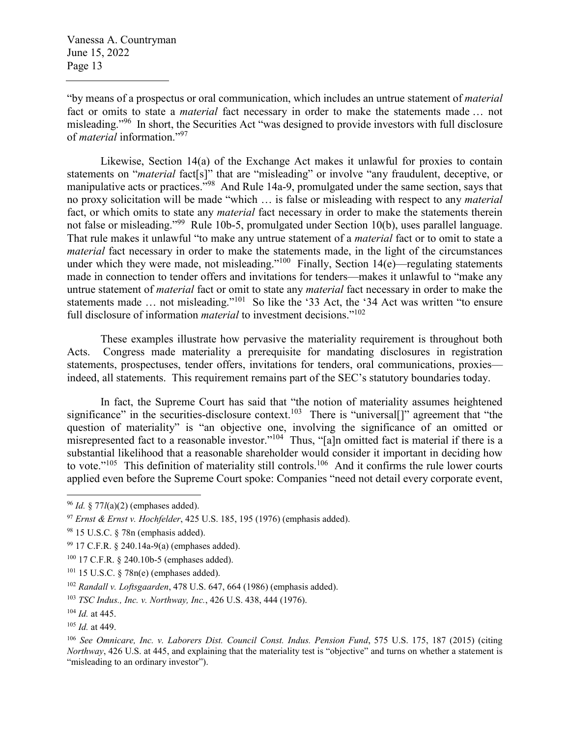"by means of a prospectus or oral communication, which includes an untrue statement of *material* fact or omits to state a *material* fact necessary in order to make the statements made … not misleading."<sup>96</sup> In short, the Securities Act "was designed to provide investors with full disclosure of *material* information."<sup>97</sup>

Likewise, Section 14(a) of the Exchange Act makes it unlawful for proxies to contain statements on "*material* fact[s]" that are "misleading" or involve "any fraudulent, deceptive, or manipulative acts or practices.<sup>798</sup> And Rule 14a-9, promulgated under the same section, says that no proxy solicitation will be made "which … is false or misleading with respect to any *material* fact, or which omits to state any *material* fact necessary in order to make the statements therein not false or misleading."<sup>99</sup> Rule 10b-5, promulgated under Section 10(b), uses parallel language. That rule makes it unlawful "to make any untrue statement of a *material* fact or to omit to state a *material* fact necessary in order to make the statements made, in the light of the circumstances under which they were made, not misleading."<sup>100</sup> Finally, Section  $14(e)$ —regulating statements made in connection to tender offers and invitations for tenders—makes it unlawful to "make any untrue statement of *material* fact or omit to state any *material* fact necessary in order to make the statements made ... not misleading."<sup>101</sup> So like the '33 Act, the '34 Act was written "to ensure full disclosure of information *material* to investment decisions."<sup>102</sup>

These examples illustrate how pervasive the materiality requirement is throughout both Acts. Congress made materiality a prerequisite for mandating disclosures in registration statements, prospectuses, tender offers, invitations for tenders, oral communications, proxies indeed, all statements. This requirement remains part of the SEC's statutory boundaries today.

In fact, the Supreme Court has said that "the notion of materiality assumes heightened significance" in the securities-disclosure context.<sup>103</sup> There is "universal[]" agreement that "the question of materiality" is "an objective one, involving the significance of an omitted or misrepresented fact to a reasonable investor."<sup>104</sup> Thus, "[a]n omitted fact is material if there is a substantial likelihood that a reasonable shareholder would consider it important in deciding how to vote."<sup>105</sup> This definition of materiality still controls.<sup>106</sup> And it confirms the rule lower courts applied even before the Supreme Court spoke: Companies "need not detail every corporate event,

<sup>96</sup> *Id.* § 77*l*(a)(2) (emphases added).

<sup>97</sup> *Ernst & Ernst v. Hochfelder*, 425 U.S. 185, 195 (1976) (emphasis added).

<sup>98</sup> 15 U.S.C. § 78n (emphasis added).

<sup>99</sup> 17 C.F.R. § 240.14a-9(a) (emphases added).

<sup>100</sup> 17 C.F.R. § 240.10b-5 (emphases added).

<sup>101</sup> 15 U.S.C. § 78n(e) (emphases added).

<sup>102</sup> *Randall v. Loftsgaarden*, 478 U.S. 647, 664 (1986) (emphasis added).

<sup>103</sup> *TSC Indus., Inc. v. Northway, Inc.*, 426 U.S. 438, 444 (1976).

<sup>104</sup> *Id.* at 445.

<sup>105</sup> *Id.* at 449.

<sup>106</sup> *See Omnicare, Inc. v. Laborers Dist. Council Const. Indus. Pension Fund*, 575 U.S. 175, 187 (2015) (citing *Northway*, 426 U.S. at 445, and explaining that the materiality test is "objective" and turns on whether a statement is "misleading to an ordinary investor").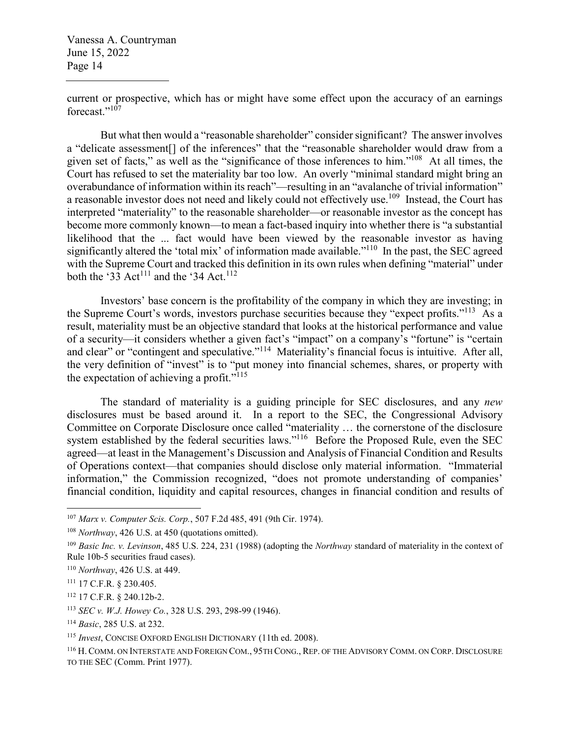current or prospective, which has or might have some effect upon the accuracy of an earnings forecast."<sup>107</sup>

But what then would a "reasonable shareholder" consider significant? The answer involves a "delicate assessment[] of the inferences" that the "reasonable shareholder would draw from a given set of facts," as well as the "significance of those inferences to him."<sup>108</sup> At all times, the Court has refused to set the materiality bar too low. An overly "minimal standard might bring an overabundance of information within its reach"—resulting in an "avalanche of trivial information" a reasonable investor does not need and likely could not effectively use.<sup>109</sup> Instead, the Court has interpreted "materiality" to the reasonable shareholder—or reasonable investor as the concept has become more commonly known—to mean a fact-based inquiry into whether there is "a substantial likelihood that the ... fact would have been viewed by the reasonable investor as having significantly altered the 'total mix' of information made available."<sup>110</sup> In the past, the SEC agreed with the Supreme Court and tracked this definition in its own rules when defining "material" under both the '33 Act<sup>111</sup> and the '34 Act.<sup>112</sup>

Investors' base concern is the profitability of the company in which they are investing; in the Supreme Court's words, investors purchase securities because they "expect profits."<sup>113</sup> As a result, materiality must be an objective standard that looks at the historical performance and value of a security—it considers whether a given fact's "impact" on a company's "fortune" is "certain and clear" or "contingent and speculative."<sup>114</sup> Materiality's financial focus is intuitive. After all, the very definition of "invest" is to "put money into financial schemes, shares, or property with the expectation of achieving a profit." $115$ 

The standard of materiality is a guiding principle for SEC disclosures, and any *new* disclosures must be based around it. In a report to the SEC, the Congressional Advisory Committee on Corporate Disclosure once called "materiality … the cornerstone of the disclosure system established by the federal securities laws."<sup>116</sup> Before the Proposed Rule, even the SEC agreed—at least in the Management's Discussion and Analysis of Financial Condition and Results of Operations context—that companies should disclose only material information. "Immaterial information," the Commission recognized, "does not promote understanding of companies' financial condition, liquidity and capital resources, changes in financial condition and results of

<sup>107</sup> *Marx v. Computer Scis. Corp.*, 507 F.2d 485, 491 (9th Cir. 1974).

<sup>108</sup> *Northway*, 426 U.S. at 450 (quotations omitted).

<sup>109</sup> *Basic Inc. v. Levinson*, 485 U.S. 224, 231 (1988) (adopting the *Northway* standard of materiality in the context of Rule 10b-5 securities fraud cases).

<sup>110</sup> *Northway*, 426 U.S. at 449.

<sup>111</sup> 17 C.F.R. § 230.405.

<sup>112</sup> 17 C.F.R. § 240.12b-2.

<sup>113</sup> *SEC v. W.J. Howey Co.*, 328 U.S. 293, 298-99 (1946).

<sup>114</sup> *Basic*, 285 U.S. at 232.

<sup>115</sup> *Invest*, CONCISE OXFORD ENGLISH DICTIONARY (11th ed. 2008).

<sup>116</sup> H. COMM. ON INTERSTATE AND FOREIGN COM., 95TH CONG., REP. OF THE ADVISORY COMM. ON CORP. DISCLOSURE TO THE SEC (Comm. Print 1977).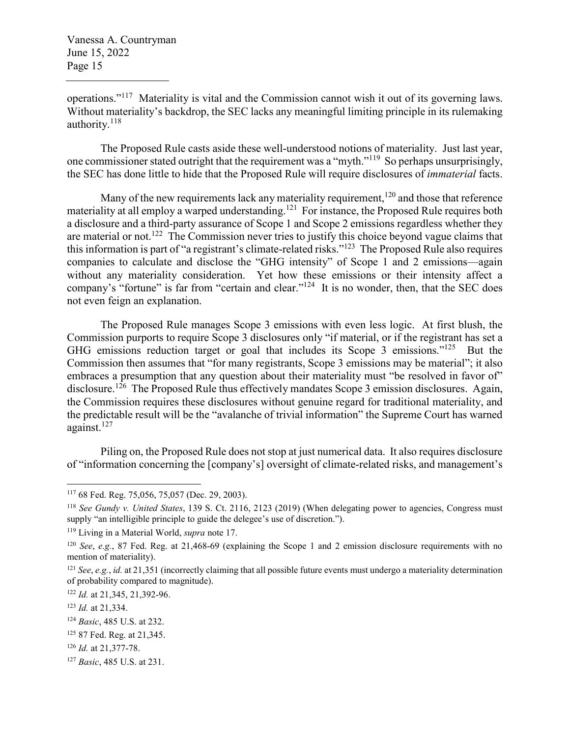operations."<sup>117</sup> Materiality is vital and the Commission cannot wish it out of its governing laws. Without materiality's backdrop, the SEC lacks any meaningful limiting principle in its rulemaking authority.<sup>118</sup>

The Proposed Rule casts aside these well-understood notions of materiality. Just last year, one commissioner stated outright that the requirement was a "myth."<sup>119</sup> So perhaps unsurprisingly, the SEC has done little to hide that the Proposed Rule will require disclosures of *immaterial* facts.

Many of the new requirements lack any materiality requirement,  $120$  and those that reference materiality at all employ a warped understanding.<sup>121</sup> For instance, the Proposed Rule requires both a disclosure and a third-party assurance of Scope 1 and Scope 2 emissions regardless whether they are material or not.<sup>122</sup> The Commission never tries to justify this choice beyond vague claims that this information is part of "a registrant's climate-related risks."<sup>123</sup> The Proposed Rule also requires companies to calculate and disclose the "GHG intensity" of Scope 1 and 2 emissions—again without any materiality consideration. Yet how these emissions or their intensity affect a company's "fortune" is far from "certain and clear."<sup>124</sup> It is no wonder, then, that the SEC does not even feign an explanation.

The Proposed Rule manages Scope 3 emissions with even less logic. At first blush, the Commission purports to require Scope 3 disclosures only "if material, or if the registrant has set a GHG emissions reduction target or goal that includes its Scope 3 emissions."<sup>125</sup> But the Commission then assumes that "for many registrants, Scope 3 emissions may be material"; it also embraces a presumption that any question about their materiality must "be resolved in favor of" disclosure.<sup>126</sup> The Proposed Rule thus effectively mandates Scope 3 emission disclosures. Again, the Commission requires these disclosures without genuine regard for traditional materiality, and the predictable result will be the "avalanche of trivial information" the Supreme Court has warned against.<sup>127</sup>

Piling on, the Proposed Rule does not stop at just numerical data. It also requires disclosure of "information concerning the [company's] oversight of climate-related risks, and management's

<sup>117</sup> 68 Fed. Reg. 75,056, 75,057 (Dec. 29, 2003).

<sup>118</sup> *See Gundy v. United States*, 139 S. Ct. 2116, 2123 (2019) (When delegating power to agencies, Congress must supply "an intelligible principle to guide the delegee's use of discretion.").

<sup>119</sup> Living in a Material World, *supra* note 17.

<sup>120</sup> *See*, *e.g.*, 87 Fed. Reg. at 21,468-69 (explaining the Scope 1 and 2 emission disclosure requirements with no mention of materiality).

<sup>121</sup> *See*, *e.g.*, *id.* at 21,351 (incorrectly claiming that all possible future events must undergo a materiality determination of probability compared to magnitude).

<sup>122</sup> *Id.* at 21,345, 21,392-96.

<sup>123</sup> *Id.* at 21,334.

<sup>124</sup> *Basic*, 485 U.S. at 232.

<sup>125</sup> 87 Fed. Reg. at 21,345.

<sup>126</sup> *Id.* at 21,377-78.

<sup>127</sup> *Basic*, 485 U.S. at 231.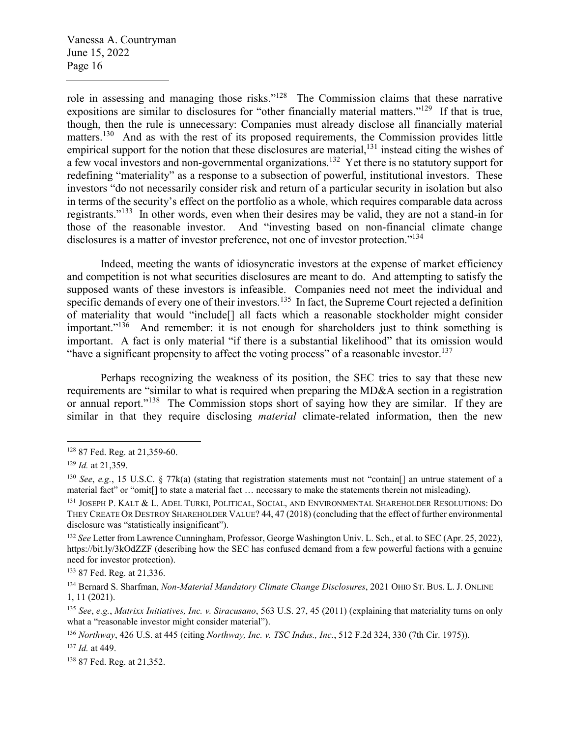role in assessing and managing those risks."<sup>128</sup> The Commission claims that these narrative expositions are similar to disclosures for "other financially material matters."<sup>129</sup> If that is true, though, then the rule is unnecessary: Companies must already disclose all financially material matters.<sup>130</sup> And as with the rest of its proposed requirements, the Commission provides little empirical support for the notion that these disclosures are material,<sup>131</sup> instead citing the wishes of a few vocal investors and non-governmental organizations.<sup>132</sup> Yet there is no statutory support for redefining "materiality" as a response to a subsection of powerful, institutional investors. These investors "do not necessarily consider risk and return of a particular security in isolation but also in terms of the security's effect on the portfolio as a whole, which requires comparable data across registrants."<sup>133</sup> In other words, even when their desires may be valid, they are not a stand-in for those of the reasonable investor. And "investing based on non-financial climate change disclosures is a matter of investor preference, not one of investor protection."<sup>134</sup>

Indeed, meeting the wants of idiosyncratic investors at the expense of market efficiency and competition is not what securities disclosures are meant to do. And attempting to satisfy the supposed wants of these investors is infeasible. Companies need not meet the individual and specific demands of every one of their investors.<sup>135</sup> In fact, the Supreme Court rejected a definition of materiality that would "include[] all facts which a reasonable stockholder might consider important."<sup>136</sup> And remember: it is not enough for shareholders just to think something is important. A fact is only material "if there is a substantial likelihood" that its omission would "have a significant propensity to affect the voting process" of a reasonable investor.<sup>137</sup>

Perhaps recognizing the weakness of its position, the SEC tries to say that these new requirements are "similar to what is required when preparing the MD&A section in a registration or annual report."<sup>138</sup> The Commission stops short of saying how they are similar. If they are similar in that they require disclosing *material* climate-related information, then the new

<sup>133</sup> 87 Fed. Reg. at 21,336.

<sup>128</sup> 87 Fed. Reg. at 21,359-60.

<sup>129</sup> *Id.* at 21,359.

<sup>130</sup> *See*, *e.g.*, 15 U.S.C. § 77k(a) (stating that registration statements must not "contain[] an untrue statement of a material fact" or "omit[] to state a material fact … necessary to make the statements therein not misleading).

<sup>131</sup> JOSEPH P. KALT & L. ADEL TURKI, POLITICAL, SOCIAL, AND ENVIRONMENTAL SHAREHOLDER RESOLUTIONS: DO THEY CREATE OR DESTROY SHAREHOLDER VALUE? 44, 47 (2018) (concluding that the effect of further environmental disclosure was "statistically insignificant").

<sup>132</sup> *See* Letter from Lawrence Cunningham, Professor, George Washington Univ. L. Sch., et al. to SEC (Apr. 25, 2022), https://bit.ly/3kOdZZF (describing how the SEC has confused demand from a few powerful factions with a genuine need for investor protection).

<sup>134</sup> Bernard S. Sharfman, *Non-Material Mandatory Climate Change Disclosures*, 2021 OHIO ST. BUS. L. J. ONLINE 1, 11 (2021).

<sup>135</sup> *See*, *e.g.*, *Matrixx Initiatives, Inc. v. Siracusano*, 563 U.S. 27, 45 (2011) (explaining that materiality turns on only what a "reasonable investor might consider material").

<sup>136</sup> *Northway*, 426 U.S. at 445 (citing *Northway, Inc. v. TSC Indus., Inc.*, 512 F.2d 324, 330 (7th Cir. 1975)).

<sup>137</sup> *Id.* at 449.

<sup>138</sup> 87 Fed. Reg. at 21,352.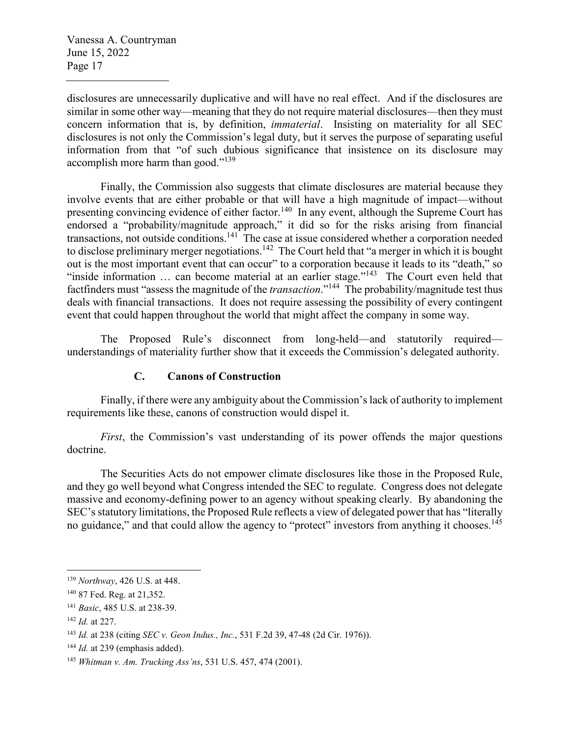disclosures are unnecessarily duplicative and will have no real effect. And if the disclosures are similar in some other way—meaning that they do not require material disclosures—then they must concern information that is, by definition, *immaterial*. Insisting on materiality for all SEC disclosures is not only the Commission's legal duty, but it serves the purpose of separating useful information from that "of such dubious significance that insistence on its disclosure may accomplish more harm than good."<sup>139</sup>

Finally, the Commission also suggests that climate disclosures are material because they involve events that are either probable or that will have a high magnitude of impact—without presenting convincing evidence of either factor.<sup>140</sup> In any event, although the Supreme Court has endorsed a "probability/magnitude approach," it did so for the risks arising from financial transactions, not outside conditions.<sup>141</sup> The case at issue considered whether a corporation needed to disclose preliminary merger negotiations.<sup>142</sup> The Court held that "a merger in which it is bought out is the most important event that can occur" to a corporation because it leads to its "death," so "inside information  $\ldots$  can become material at an earlier stage."<sup>143</sup> The Court even held that factfinders must "assess the magnitude of the *transaction*."<sup>144</sup> The probability/magnitude test thus deals with financial transactions. It does not require assessing the possibility of every contingent event that could happen throughout the world that might affect the company in some way.

The Proposed Rule's disconnect from long-held—and statutorily required understandings of materiality further show that it exceeds the Commission's delegated authority.

### **C. Canons of Construction**

Finally, if there were any ambiguity about the Commission's lack of authority to implement requirements like these, canons of construction would dispel it.

*First*, the Commission's vast understanding of its power offends the major questions doctrine.

The Securities Acts do not empower climate disclosures like those in the Proposed Rule, and they go well beyond what Congress intended the SEC to regulate. Congress does not delegate massive and economy-defining power to an agency without speaking clearly. By abandoning the SEC's statutory limitations, the Proposed Rule reflects a view of delegated power that has "literally no guidance," and that could allow the agency to "protect" investors from anything it chooses.<sup>145</sup>

<sup>139</sup> *Northway*, 426 U.S. at 448.

<sup>140</sup> 87 Fed. Reg. at 21,352.

<sup>141</sup> *Basic*, 485 U.S. at 238-39.

<sup>142</sup> *Id.* at 227.

<sup>143</sup> *Id.* at 238 (citing *SEC v. Geon Indus., Inc.*, 531 F.2d 39, 47-48 (2d Cir. 1976)).

<sup>&</sup>lt;sup>144</sup> *Id.* at 239 (emphasis added).

<sup>145</sup> *Whitman v. Am. Trucking Ass'ns*, 531 U.S. 457, 474 (2001).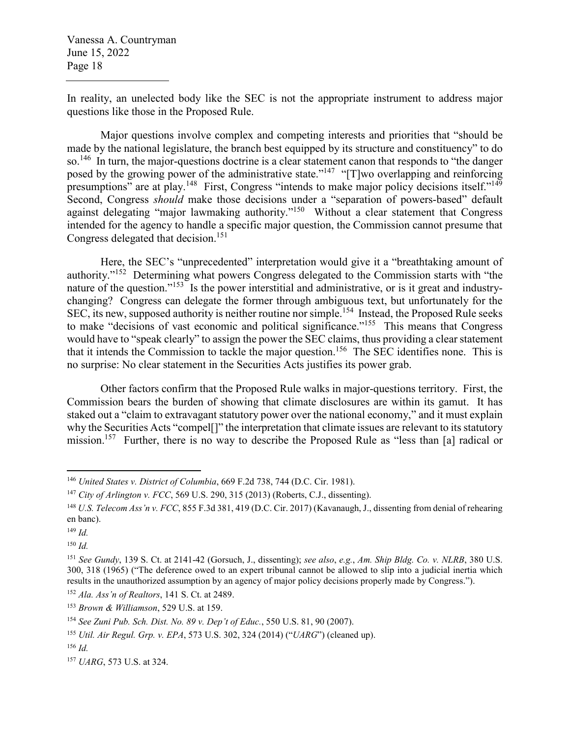In reality, an unelected body like the SEC is not the appropriate instrument to address major questions like those in the Proposed Rule.

Major questions involve complex and competing interests and priorities that "should be made by the national legislature, the branch best equipped by its structure and constituency" to do so.<sup>146</sup> In turn, the major-questions doctrine is a clear statement canon that responds to "the danger" posed by the growing power of the administrative state."<sup>147</sup> "[T]wo overlapping and reinforcing presumptions" are at play.<sup>148</sup> First, Congress "intends to make major policy decisions itself."<sup>149</sup> Second, Congress *should* make those decisions under a "separation of powers-based" default against delegating "major lawmaking authority."<sup>150</sup> Without a clear statement that Congress intended for the agency to handle a specific major question, the Commission cannot presume that Congress delegated that decision.<sup>151</sup>

Here, the SEC's "unprecedented" interpretation would give it a "breathtaking amount of authority."<sup>152</sup> Determining what powers Congress delegated to the Commission starts with "the nature of the question."<sup>153</sup> Is the power interstitial and administrative, or is it great and industrychanging? Congress can delegate the former through ambiguous text, but unfortunately for the SEC, its new, supposed authority is neither routine nor simple.<sup>154</sup> Instead, the Proposed Rule seeks to make "decisions of vast economic and political significance."<sup>155</sup> This means that Congress would have to "speak clearly" to assign the power the SEC claims, thus providing a clear statement that it intends the Commission to tackle the major question.<sup>156</sup> The SEC identifies none. This is no surprise: No clear statement in the Securities Acts justifies its power grab.

Other factors confirm that the Proposed Rule walks in major-questions territory. First, the Commission bears the burden of showing that climate disclosures are within its gamut. It has staked out a "claim to extravagant statutory power over the national economy," and it must explain why the Securities Acts "compel[]" the interpretation that climate issues are relevant to its statutory mission.<sup>157</sup> Further, there is no way to describe the Proposed Rule as "less than [a] radical or

<sup>150</sup> *Id.*

<sup>146</sup> *United States v. District of Columbia*, 669 F.2d 738, 744 (D.C. Cir. 1981).

<sup>147</sup> *City of Arlington v. FCC*, 569 U.S. 290, 315 (2013) (Roberts, C.J., dissenting).

<sup>148</sup> *U.S. Telecom Ass'n v. FCC*, 855 F.3d 381, 419 (D.C. Cir. 2017) (Kavanaugh, J., dissenting from denial of rehearing en banc).

<sup>149</sup> *Id.*

<sup>151</sup> *See Gundy*, 139 S. Ct. at 2141-42 (Gorsuch, J., dissenting); *see also*, *e.g.*, *Am. Ship Bldg. Co. v. NLRB*, 380 U.S. 300, 318 (1965) ("The deference owed to an expert tribunal cannot be allowed to slip into a judicial inertia which results in the unauthorized assumption by an agency of major policy decisions properly made by Congress."). <sup>152</sup> *Ala. Ass'n of Realtors*, 141 S. Ct. at 2489.

<sup>153</sup> *Brown & Williamson*, 529 U.S. at 159.

<sup>154</sup> *See Zuni Pub. Sch. Dist. No. 89 v. Dep't of Educ.*, 550 U.S. 81, 90 (2007).

<sup>155</sup> *Util. Air Regul. Grp. v. EPA*, 573 U.S. 302, 324 (2014) ("*UARG*") (cleaned up).

<sup>156</sup> *Id.*

<sup>157</sup> *UARG*, 573 U.S. at 324.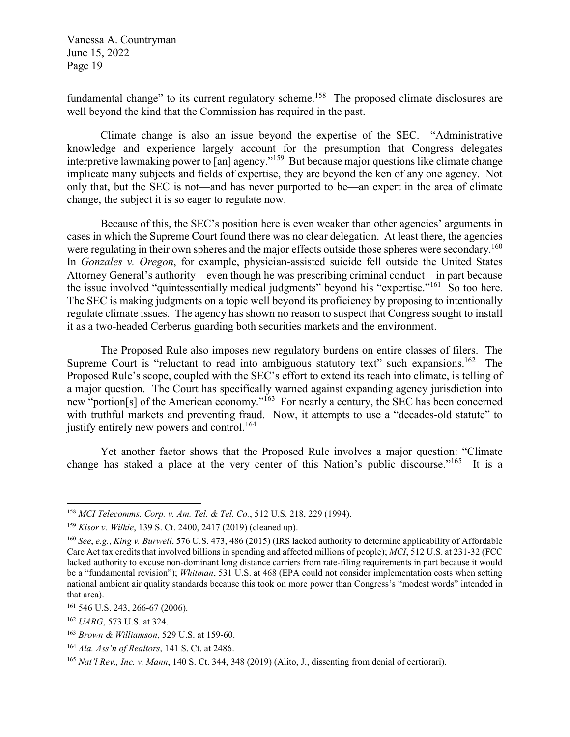fundamental change" to its current regulatory scheme.<sup>158</sup> The proposed climate disclosures are well beyond the kind that the Commission has required in the past.

Climate change is also an issue beyond the expertise of the SEC. "Administrative knowledge and experience largely account for the presumption that Congress delegates interpretive lawmaking power to [an] agency."<sup>159</sup> But because major questions like climate change implicate many subjects and fields of expertise, they are beyond the ken of any one agency. Not only that, but the SEC is not—and has never purported to be—an expert in the area of climate change, the subject it is so eager to regulate now.

Because of this, the SEC's position here is even weaker than other agencies' arguments in cases in which the Supreme Court found there was no clear delegation. At least there, the agencies were regulating in their own spheres and the major effects outside those spheres were secondary.<sup>160</sup> In *Gonzales v. Oregon*, for example, physician-assisted suicide fell outside the United States Attorney General's authority—even though he was prescribing criminal conduct—in part because the issue involved "quintessentially medical judgments" beyond his "expertise."<sup>161</sup> So too here. The SEC is making judgments on a topic well beyond its proficiency by proposing to intentionally regulate climate issues. The agency has shown no reason to suspect that Congress sought to install it as a two-headed Cerberus guarding both securities markets and the environment.

The Proposed Rule also imposes new regulatory burdens on entire classes of filers. The Supreme Court is "reluctant to read into ambiguous statutory text" such expansions.<sup>162</sup> The Proposed Rule's scope, coupled with the SEC's effort to extend its reach into climate, is telling of a major question. The Court has specifically warned against expanding agency jurisdiction into new "portion[s] of the American economy."<sup>163</sup> For nearly a century, the SEC has been concerned with truthful markets and preventing fraud. Now, it attempts to use a "decades-old statute" to justify entirely new powers and control.<sup>164</sup>

Yet another factor shows that the Proposed Rule involves a major question: "Climate change has staked a place at the very center of this Nation's public discourse."<sup>165</sup> It is a

<sup>158</sup> *MCI Telecomms. Corp. v. Am. Tel. & Tel. Co.*, 512 U.S. 218, 229 (1994).

<sup>159</sup> *Kisor v. Wilkie*, 139 S. Ct. 2400, 2417 (2019) (cleaned up).

<sup>160</sup> *See*, *e.g.*, *King v. Burwell*, 576 U.S. 473, 486 (2015) (IRS lacked authority to determine applicability of Affordable Care Act tax credits that involved billions in spending and affected millions of people); *MCI*, 512 U.S. at 231-32 (FCC lacked authority to excuse non-dominant long distance carriers from rate-filing requirements in part because it would be a "fundamental revision"); *Whitman*, 531 U.S. at 468 (EPA could not consider implementation costs when setting national ambient air quality standards because this took on more power than Congress's "modest words" intended in that area).

<sup>161</sup> 546 U.S. 243, 266-67 (2006).

<sup>162</sup> *UARG*, 573 U.S. at 324.

<sup>163</sup> *Brown & Williamson*, 529 U.S. at 159-60.

<sup>164</sup> *Ala. Ass'n of Realtors*, 141 S. Ct. at 2486.

<sup>165</sup> *Nat'l Rev., Inc. v. Mann*, 140 S. Ct. 344, 348 (2019) (Alito, J., dissenting from denial of certiorari).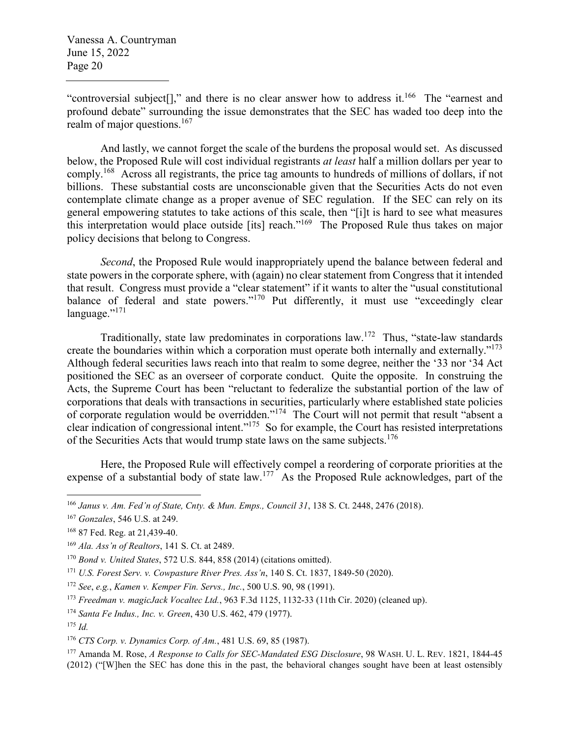"controversial subject[]," and there is no clear answer how to address it.<sup>166</sup> The "earnest and profound debate" surrounding the issue demonstrates that the SEC has waded too deep into the realm of major questions. $167$ 

And lastly, we cannot forget the scale of the burdens the proposal would set. As discussed below, the Proposed Rule will cost individual registrants *at least* half a million dollars per year to comply.<sup>168</sup> Across all registrants, the price tag amounts to hundreds of millions of dollars, if not billions. These substantial costs are unconscionable given that the Securities Acts do not even contemplate climate change as a proper avenue of SEC regulation. If the SEC can rely on its general empowering statutes to take actions of this scale, then "[i]t is hard to see what measures this interpretation would place outside [its] reach."<sup>169</sup> The Proposed Rule thus takes on major policy decisions that belong to Congress.

*Second*, the Proposed Rule would inappropriately upend the balance between federal and state powers in the corporate sphere, with (again) no clear statement from Congress that it intended that result. Congress must provide a "clear statement" if it wants to alter the "usual constitutional balance of federal and state powers."<sup>170</sup> Put differently, it must use "exceedingly clear language."<sup>171</sup>

Traditionally, state law predominates in corporations law.<sup>172</sup> Thus, "state-law standards create the boundaries within which a corporation must operate both internally and externally."<sup>173</sup> Although federal securities laws reach into that realm to some degree, neither the '33 nor '34 Act positioned the SEC as an overseer of corporate conduct. Quite the opposite. In construing the Acts, the Supreme Court has been "reluctant to federalize the substantial portion of the law of corporations that deals with transactions in securities, particularly where established state policies of corporate regulation would be overridden."<sup>174</sup> The Court will not permit that result "absent a clear indication of congressional intent."<sup>175</sup> So for example, the Court has resisted interpretations of the Securities Acts that would trump state laws on the same subjects.<sup>176</sup>

Here, the Proposed Rule will effectively compel a reordering of corporate priorities at the expense of a substantial body of state law.<sup>177</sup> As the Proposed Rule acknowledges, part of the

<sup>166</sup> *Janus v. Am. Fed'n of State, Cnty. & Mun. Emps., Council 31*, 138 S. Ct. 2448, 2476 (2018).

<sup>167</sup> *Gonzales*, 546 U.S. at 249.

<sup>168</sup> 87 Fed. Reg. at 21,439-40.

<sup>169</sup> *Ala. Ass'n of Realtors*, 141 S. Ct. at 2489.

<sup>170</sup> *Bond v. United States*, 572 U.S. 844, 858 (2014) (citations omitted).

<sup>171</sup> *U.S. Forest Serv. v. Cowpasture River Pres. Ass'n*, 140 S. Ct. 1837, 1849-50 (2020).

<sup>172</sup> *See*, *e.g.*, *Kamen v. Kemper Fin. Servs., Inc.*, 500 U.S. 90, 98 (1991).

<sup>173</sup> *Freedman v. magicJack Vocaltec Ltd.*, 963 F.3d 1125, 1132-33 (11th Cir. 2020) (cleaned up).

<sup>174</sup> *Santa Fe Indus., Inc. v. Green*, 430 U.S. 462, 479 (1977).

<sup>175</sup> *Id.*

<sup>176</sup> *CTS Corp. v. Dynamics Corp. of Am.*, 481 U.S. 69, 85 (1987).

<sup>177</sup> Amanda M. Rose, *A Response to Calls for SEC-Mandated ESG Disclosure*, 98 WASH. U. L. REV. 1821, 1844-45 (2012) ("[W]hen the SEC has done this in the past, the behavioral changes sought have been at least ostensibly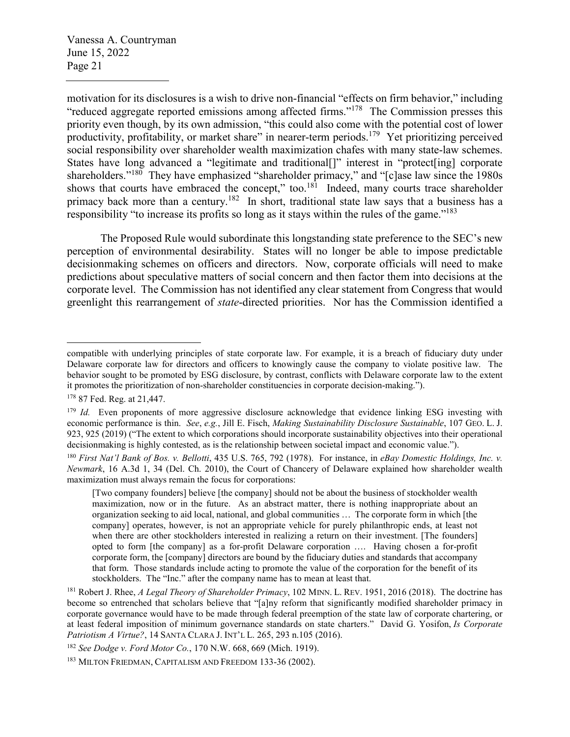motivation for its disclosures is a wish to drive non-financial "effects on firm behavior," including "reduced aggregate reported emissions among affected firms."<sup>178</sup> The Commission presses this priority even though, by its own admission, "this could also come with the potential cost of lower productivity, profitability, or market share" in nearer-term periods.<sup>179</sup> Yet prioritizing perceived social responsibility over shareholder wealth maximization chafes with many state-law schemes. States have long advanced a "legitimate and traditional[]" interest in "protect[ing] corporate shareholders."<sup>180</sup> They have emphasized "shareholder primacy," and "[c]ase law since the 1980s shows that courts have embraced the concept," too.<sup>181</sup> Indeed, many courts trace shareholder primacy back more than a century.<sup>182</sup> In short, traditional state law says that a business has a responsibility "to increase its profits so long as it stays within the rules of the game."<sup>183</sup>

The Proposed Rule would subordinate this longstanding state preference to the SEC's new perception of environmental desirability. States will no longer be able to impose predictable decisionmaking schemes on officers and directors. Now, corporate officials will need to make predictions about speculative matters of social concern and then factor them into decisions at the corporate level. The Commission has not identified any clear statement from Congress that would greenlight this rearrangement of *state*-directed priorities. Nor has the Commission identified a

compatible with underlying principles of state corporate law. For example, it is a breach of fiduciary duty under Delaware corporate law for directors and officers to knowingly cause the company to violate positive law. The behavior sought to be promoted by ESG disclosure, by contrast, conflicts with Delaware corporate law to the extent it promotes the prioritization of non-shareholder constituencies in corporate decision-making.").

<sup>178</sup> 87 Fed. Reg. at 21,447.

<sup>&</sup>lt;sup>179</sup> *Id.* Even proponents of more aggressive disclosure acknowledge that evidence linking ESG investing with economic performance is thin. *See*, *e.g.*, Jill E. Fisch, *Making Sustainability Disclosure Sustainable*, 107 GEO. L. J. 923, 925 (2019) ("The extent to which corporations should incorporate sustainability objectives into their operational decisionmaking is highly contested, as is the relationship between societal impact and economic value.").

<sup>180</sup> *First Nat'l Bank of Bos. v. Bellotti*, 435 U.S. 765, 792 (1978). For instance, in *eBay Domestic Holdings, Inc. v. Newmark*, 16 A.3d 1, 34 (Del. Ch. 2010), the Court of Chancery of Delaware explained how shareholder wealth maximization must always remain the focus for corporations:

<sup>[</sup>Two company founders] believe [the company] should not be about the business of stockholder wealth maximization, now or in the future. As an abstract matter, there is nothing inappropriate about an organization seeking to aid local, national, and global communities … The corporate form in which [the company] operates, however, is not an appropriate vehicle for purely philanthropic ends, at least not when there are other stockholders interested in realizing a return on their investment. [The founders] opted to form [the company] as a for-profit Delaware corporation …. Having chosen a for-profit corporate form, the [company] directors are bound by the fiduciary duties and standards that accompany that form. Those standards include acting to promote the value of the corporation for the benefit of its stockholders. The "Inc." after the company name has to mean at least that.

<sup>181</sup> Robert J. Rhee, *A Legal Theory of Shareholder Primacy*, 102 MINN. L. REV. 1951, 2016 (2018). The doctrine has become so entrenched that scholars believe that "[a]ny reform that significantly modified shareholder primacy in corporate governance would have to be made through federal preemption of the state law of corporate chartering, or at least federal imposition of minimum governance standards on state charters." David G. Yosifon, *Is Corporate Patriotism A Virtue?*, 14 SANTA CLARA J. INT'L L. 265, 293 n.105 (2016).

<sup>182</sup> *See Dodge v. Ford Motor Co.*, 170 N.W. 668, 669 (Mich. 1919).

<sup>183</sup> MILTON FRIEDMAN, CAPITALISM AND FREEDOM 133-36 (2002).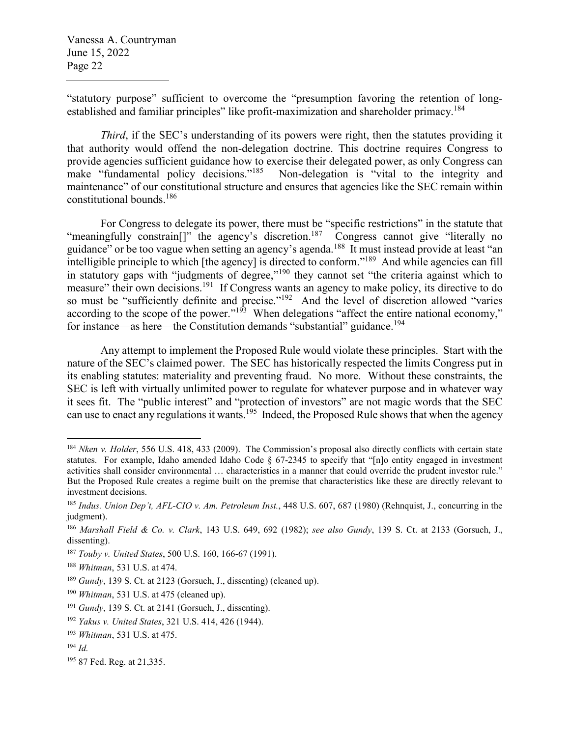"statutory purpose" sufficient to overcome the "presumption favoring the retention of longestablished and familiar principles" like profit-maximization and shareholder primacy.<sup>184</sup>

*Third*, if the SEC's understanding of its powers were right, then the statutes providing it that authority would offend the non-delegation doctrine. This doctrine requires Congress to provide agencies sufficient guidance how to exercise their delegated power, as only Congress can<br>make "fundamental policy decisions."<sup>185</sup> Non-delegation is "vital to the integrity and Non-delegation is "vital to the integrity and maintenance" of our constitutional structure and ensures that agencies like the SEC remain within constitutional bounds.<sup>186</sup>

For Congress to delegate its power, there must be "specific restrictions" in the statute that "meaningfully constrain<sup>[]"</sup> the agency's discretion.<sup>187</sup> Congress cannot give "literally no guidance" or be too vague when setting an agency's agenda.<sup>188</sup> It must instead provide at least "an intelligible principle to which [the agency] is directed to conform."<sup>189</sup> And while agencies can fill in statutory gaps with "judgments of degree,"<sup>190</sup> they cannot set "the criteria against which to measure" their own decisions.<sup>191</sup> If Congress wants an agency to make policy, its directive to do so must be "sufficiently definite and precise."<sup>192</sup> And the level of discretion allowed "varies" according to the scope of the power."<sup>193</sup> When delegations "affect the entire national economy," for instance—as here—the Constitution demands "substantial" guidance.<sup>194</sup>

Any attempt to implement the Proposed Rule would violate these principles. Start with the nature of the SEC's claimed power. The SEC has historically respected the limits Congress put in its enabling statutes: materiality and preventing fraud. No more. Without these constraints, the SEC is left with virtually unlimited power to regulate for whatever purpose and in whatever way it sees fit. The "public interest" and "protection of investors" are not magic words that the SEC can use to enact any regulations it wants.<sup>195</sup> Indeed, the Proposed Rule shows that when the agency

<sup>184</sup> *Nken v. Holder*, 556 U.S. 418, 433 (2009). The Commission's proposal also directly conflicts with certain state statutes. For example, Idaho amended Idaho Code § 67-2345 to specify that "[n]o entity engaged in investment activities shall consider environmental … characteristics in a manner that could override the prudent investor rule." But the Proposed Rule creates a regime built on the premise that characteristics like these are directly relevant to investment decisions.

<sup>185</sup> *Indus. Union Dep't, AFL-CIO v. Am. Petroleum Inst.*, 448 U.S. 607, 687 (1980) (Rehnquist, J., concurring in the judgment).

<sup>186</sup> *Marshall Field & Co. v. Clark*, 143 U.S. 649, 692 (1982); *see also Gundy*, 139 S. Ct. at 2133 (Gorsuch, J., dissenting).

<sup>187</sup> *Touby v. United States*, 500 U.S. 160, 166-67 (1991).

<sup>188</sup> *Whitman*, 531 U.S. at 474.

<sup>189</sup> *Gundy*, 139 S. Ct. at 2123 (Gorsuch, J., dissenting) (cleaned up).

<sup>190</sup> *Whitman*, 531 U.S. at 475 (cleaned up).

<sup>191</sup> *Gundy*, 139 S. Ct. at 2141 (Gorsuch, J., dissenting).

<sup>192</sup> *Yakus v. United States*, 321 U.S. 414, 426 (1944).

<sup>193</sup> *Whitman*, 531 U.S. at 475.

<sup>194</sup> *Id.*

<sup>195</sup> 87 Fed. Reg. at 21,335.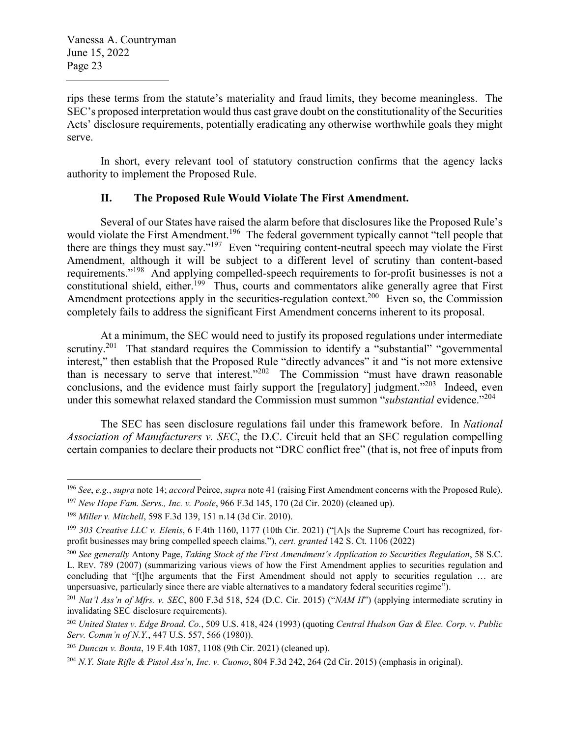rips these terms from the statute's materiality and fraud limits, they become meaningless. The SEC's proposed interpretation would thus cast grave doubt on the constitutionality of the Securities Acts' disclosure requirements, potentially eradicating any otherwise worthwhile goals they might serve.

In short, every relevant tool of statutory construction confirms that the agency lacks authority to implement the Proposed Rule.

# **II. The Proposed Rule Would Violate The First Amendment.**

Several of our States have raised the alarm before that disclosures like the Proposed Rule's would violate the First Amendment.<sup>196</sup> The federal government typically cannot "tell people that there are things they must say."<sup>197</sup> Even "requiring content-neutral speech may violate the First Amendment, although it will be subject to a different level of scrutiny than content-based requirements."<sup>198</sup> And applying compelled-speech requirements to for-profit businesses is not a constitutional shield, either.<sup>199</sup> Thus, courts and commentators alike generally agree that First Amendment protections apply in the securities-regulation context.<sup>200</sup> Even so, the Commission completely fails to address the significant First Amendment concerns inherent to its proposal.

At a minimum, the SEC would need to justify its proposed regulations under intermediate scrutiny.<sup>201</sup> That standard requires the Commission to identify a "substantial" "governmental interest," then establish that the Proposed Rule "directly advances" it and "is not more extensive than is necessary to serve that interest."<sup>202</sup> The Commission "must have drawn reasonable conclusions, and the evidence must fairly support the  $[regularly]$  judgment.<sup> $203$ </sup> Indeed, even under this somewhat relaxed standard the Commission must summon "*substantial* evidence."<sup>204</sup>

The SEC has seen disclosure regulations fail under this framework before. In *National Association of Manufacturers v. SEC*, the D.C. Circuit held that an SEC regulation compelling certain companies to declare their products not "DRC conflict free" (that is, not free of inputs from

<sup>196</sup> *See*, *e.g.*, *supra* note 14; *accord* Peirce, *supra* note 41 (raising First Amendment concerns with the Proposed Rule).

<sup>197</sup> *New Hope Fam. Servs., Inc. v. Poole*, 966 F.3d 145, 170 (2d Cir. 2020) (cleaned up).

<sup>198</sup> *Miller v. Mitchell*, 598 F.3d 139, 151 n.14 (3d Cir. 2010).

<sup>199</sup> *303 Creative LLC v. Elenis*, 6 F.4th 1160, 1177 (10th Cir. 2021) ("[A]s the Supreme Court has recognized, forprofit businesses may bring compelled speech claims."), *cert. granted* 142 S. Ct. 1106 (2022)

<sup>200</sup> *See generally* Antony Page, *Taking Stock of the First Amendment's Application to Securities Regulation*, 58 S.C. L. REV. 789 (2007) (summarizing various views of how the First Amendment applies to securities regulation and concluding that "[t]he arguments that the First Amendment should not apply to securities regulation … are unpersuasive, particularly since there are viable alternatives to a mandatory federal securities regime").

<sup>201</sup> *Nat'l Ass'n of Mfrs. v. SEC*, 800 F.3d 518, 524 (D.C. Cir. 2015) ("*NAM II*") (applying intermediate scrutiny in invalidating SEC disclosure requirements).

<sup>202</sup> *United States v. Edge Broad. Co.*, 509 U.S. 418, 424 (1993) (quoting *Central Hudson Gas & Elec. Corp. v. Public Serv. Comm'n of N.Y.*, 447 U.S. 557, 566 (1980)).

<sup>203</sup> *Duncan v. Bonta*, 19 F.4th 1087, 1108 (9th Cir. 2021) (cleaned up).

<sup>204</sup> *N.Y. State Rifle & Pistol Ass'n, Inc. v. Cuomo*, 804 F.3d 242, 264 (2d Cir. 2015) (emphasis in original).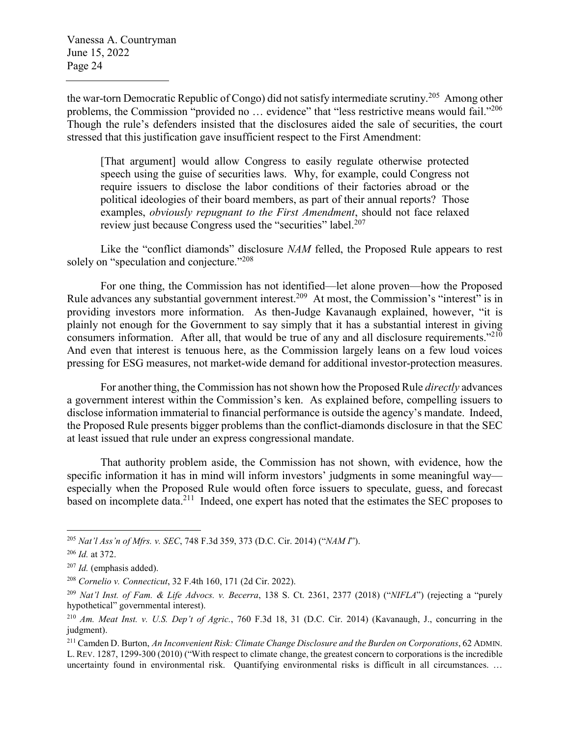the war-torn Democratic Republic of Congo) did not satisfy intermediate scrutiny.<sup>205</sup> Among other problems, the Commission "provided no ... evidence" that "less restrictive means would fail."<sup>206</sup> Though the rule's defenders insisted that the disclosures aided the sale of securities, the court stressed that this justification gave insufficient respect to the First Amendment:

[That argument] would allow Congress to easily regulate otherwise protected speech using the guise of securities laws. Why, for example, could Congress not require issuers to disclose the labor conditions of their factories abroad or the political ideologies of their board members, as part of their annual reports? Those examples, *obviously repugnant to the First Amendment*, should not face relaxed review just because Congress used the "securities" label.<sup>207</sup>

Like the "conflict diamonds" disclosure *NAM* felled, the Proposed Rule appears to rest solely on "speculation and conjecture."<sup>208</sup>

For one thing, the Commission has not identified—let alone proven—how the Proposed Rule advances any substantial government interest.<sup>209</sup> At most, the Commission's "interest" is in providing investors more information. As then-Judge Kavanaugh explained, however, "it is plainly not enough for the Government to say simply that it has a substantial interest in giving consumers information. After all, that would be true of any and all disclosure requirements."<sup>210</sup> And even that interest is tenuous here, as the Commission largely leans on a few loud voices pressing for ESG measures, not market-wide demand for additional investor-protection measures.

For another thing, the Commission has not shown how the Proposed Rule *directly* advances a government interest within the Commission's ken. As explained before, compelling issuers to disclose information immaterial to financial performance is outside the agency's mandate. Indeed, the Proposed Rule presents bigger problems than the conflict-diamonds disclosure in that the SEC at least issued that rule under an express congressional mandate.

That authority problem aside, the Commission has not shown, with evidence, how the specific information it has in mind will inform investors' judgments in some meaningful way especially when the Proposed Rule would often force issuers to speculate, guess, and forecast based on incomplete data.<sup>211</sup> Indeed, one expert has noted that the estimates the SEC proposes to

<sup>205</sup> *Nat'l Ass'n of Mfrs. v. SEC*, 748 F.3d 359, 373 (D.C. Cir. 2014) ("*NAM I*").

<sup>206</sup> *Id.* at 372.

<sup>207</sup> *Id.* (emphasis added).

<sup>208</sup> *Cornelio v. Connecticut*, 32 F.4th 160, 171 (2d Cir. 2022).

<sup>209</sup> *Nat'l Inst. of Fam. & Life Advocs. v. Becerra*, 138 S. Ct. 2361, 2377 (2018) ("*NIFLA*") (rejecting a "purely hypothetical" governmental interest).

<sup>210</sup> *Am. Meat Inst. v. U.S. Dep't of Agric.*, 760 F.3d 18, 31 (D.C. Cir. 2014) (Kavanaugh, J., concurring in the judgment).

<sup>211</sup> Camden D. Burton, *An Inconvenient Risk: Climate Change Disclosure and the Burden on Corporations*, 62 ADMIN. L. REV. 1287, 1299-300 (2010) ("With respect to climate change, the greatest concern to corporations is the incredible uncertainty found in environmental risk. Quantifying environmental risks is difficult in all circumstances. …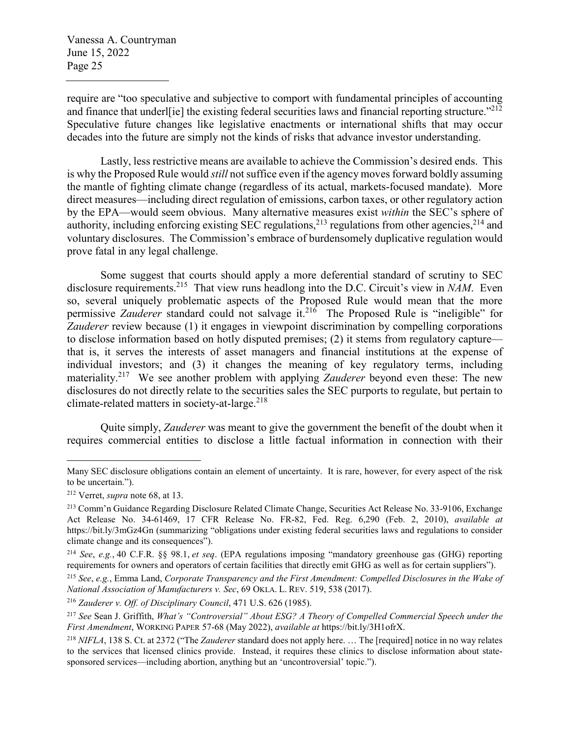require are "too speculative and subjective to comport with fundamental principles of accounting and finance that underleft the existing federal securities laws and financial reporting structure."<sup>212</sup> Speculative future changes like legislative enactments or international shifts that may occur decades into the future are simply not the kinds of risks that advance investor understanding.

Lastly, less restrictive means are available to achieve the Commission's desired ends. This is why the Proposed Rule would *still* not suffice even if the agency moves forward boldly assuming the mantle of fighting climate change (regardless of its actual, markets-focused mandate). More direct measures—including direct regulation of emissions, carbon taxes, or other regulatory action by the EPA—would seem obvious. Many alternative measures exist *within* the SEC's sphere of authority, including enforcing existing SEC regulations,<sup>213</sup> regulations from other agencies,<sup>214</sup> and voluntary disclosures. The Commission's embrace of burdensomely duplicative regulation would prove fatal in any legal challenge.

Some suggest that courts should apply a more deferential standard of scrutiny to SEC disclosure requirements.<sup>215</sup> That view runs headlong into the D.C. Circuit's view in *NAM*. Even so, several uniquely problematic aspects of the Proposed Rule would mean that the more permissive *Zauderer* standard could not salvage it.<sup>216</sup> The Proposed Rule is "ineligible" for *Zauderer* review because (1) it engages in viewpoint discrimination by compelling corporations to disclose information based on hotly disputed premises; (2) it stems from regulatory capture that is, it serves the interests of asset managers and financial institutions at the expense of individual investors; and (3) it changes the meaning of key regulatory terms, including materiality.<sup>217</sup> We see another problem with applying *Zauderer* beyond even these: The new disclosures do not directly relate to the securities sales the SEC purports to regulate, but pertain to climate-related matters in society-at-large.<sup>218</sup>

Quite simply, *Zauderer* was meant to give the government the benefit of the doubt when it requires commercial entities to disclose a little factual information in connection with their

Many SEC disclosure obligations contain an element of uncertainty. It is rare, however, for every aspect of the risk to be uncertain.").

<sup>212</sup> Verret, *supra* note 68, at 13.

<sup>213</sup> Comm'n Guidance Regarding Disclosure Related Climate Change, Securities Act Release No. 33-9106, Exchange Act Release No. 34-61469, 17 CFR Release No. FR-82, Fed. Reg. 6,290 (Feb. 2, 2010), *available at* https://bit.ly/3mGz4Gn (summarizing "obligations under existing federal securities laws and regulations to consider climate change and its consequences").

<sup>214</sup> *See*, *e.g.*, 40 C.F.R. §§ 98.1, *et seq*. (EPA regulations imposing "mandatory greenhouse gas (GHG) reporting requirements for owners and operators of certain facilities that directly emit GHG as well as for certain suppliers").

<sup>215</sup> *See*, *e.g.*, Emma Land, *Corporate Transparency and the First Amendment: Compelled Disclosures in the Wake of National Association of Manufacturers v. Sec*, 69 OKLA. L. REV. 519, 538 (2017).

<sup>216</sup> *Zauderer v. Off. of Disciplinary Council*, 471 U.S. 626 (1985).

<sup>217</sup> *See* Sean J. Griffith, *What's "Controversial" About ESG? A Theory of Compelled Commercial Speech under the First Amendment*, WORKING PAPER 57-68 (May 2022), *available at* https://bit.ly/3H1ofrX.

<sup>218</sup> *NIFLA*, 138 S. Ct. at 2372 ("The *Zauderer* standard does not apply here. … The [required] notice in no way relates to the services that licensed clinics provide. Instead, it requires these clinics to disclose information about statesponsored services—including abortion, anything but an 'uncontroversial' topic.").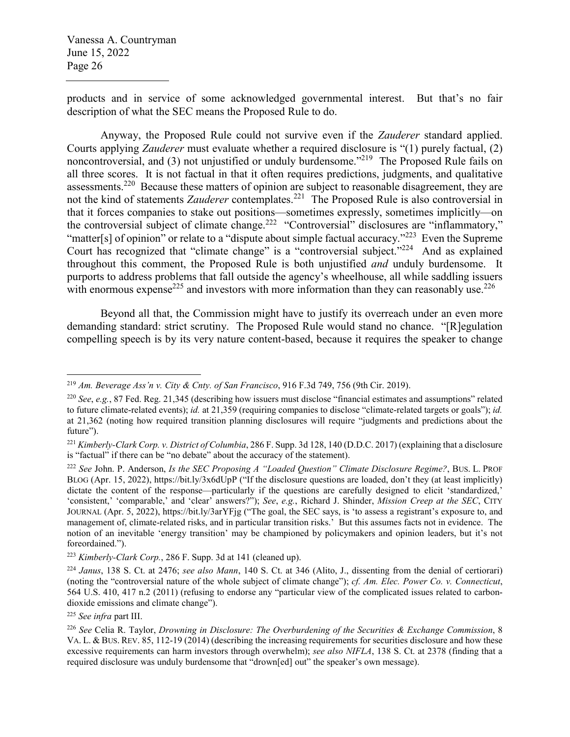products and in service of some acknowledged governmental interest. But that's no fair description of what the SEC means the Proposed Rule to do.

Anyway, the Proposed Rule could not survive even if the *Zauderer* standard applied. Courts applying *Zauderer* must evaluate whether a required disclosure is "(1) purely factual, (2) noncontroversial, and (3) not unjustified or unduly burdensome."<sup>219</sup> The Proposed Rule fails on all three scores. It is not factual in that it often requires predictions, judgments, and qualitative assessments.<sup>220</sup> Because these matters of opinion are subject to reasonable disagreement, they are not the kind of statements *Zauderer* contemplates.<sup>221</sup> The Proposed Rule is also controversial in that it forces companies to stake out positions—sometimes expressly, sometimes implicitly—on the controversial subject of climate change.<sup>222</sup> "Controversial" disclosures are "inflammatory," "matter[s] of opinion" or relate to a "dispute about simple factual accuracy."<sup>223</sup> Even the Supreme Court has recognized that "climate change" is a "controversial subject."<sup>224</sup> And as explained throughout this comment, the Proposed Rule is both unjustified *and* unduly burdensome. It purports to address problems that fall outside the agency's wheelhouse, all while saddling issuers with enormous expense<sup>225</sup> and investors with more information than they can reasonably use.<sup>226</sup>

Beyond all that, the Commission might have to justify its overreach under an even more demanding standard: strict scrutiny. The Proposed Rule would stand no chance. "[R]egulation compelling speech is by its very nature content-based, because it requires the speaker to change

<sup>219</sup> *Am. Beverage Ass'n v. City & Cnty. of San Francisco*, 916 F.3d 749, 756 (9th Cir. 2019).

<sup>220</sup> *See*, *e.g.*, 87 Fed. Reg. 21,345 (describing how issuers must disclose "financial estimates and assumptions" related to future climate-related events); *id.* at 21,359 (requiring companies to disclose "climate-related targets or goals"); *id.* at 21,362 (noting how required transition planning disclosures will require "judgments and predictions about the future").

<sup>221</sup> *Kimberly-Clark Corp. v. District of Columbia*, 286 F. Supp. 3d 128, 140 (D.D.C. 2017) (explaining that a disclosure is "factual" if there can be "no debate" about the accuracy of the statement).

<sup>222</sup> *See* John. P. Anderson, *Is the SEC Proposing A "Loaded Question" Climate Disclosure Regime?*, BUS. L. PROF BLOG (Apr. 15, 2022), https://bit.ly/3x6dUpP ("If the disclosure questions are loaded, don't they (at least implicitly) dictate the content of the response—particularly if the questions are carefully designed to elicit 'standardized,' 'consistent,' 'comparable,' and 'clear' answers?"); *See*, *e.g.*, Richard J. Shinder, *Mission Creep at the SEC*, CITY JOURNAL (Apr. 5, 2022), https://bit.ly/3arYFjg ("The goal, the SEC says, is 'to assess a registrant's exposure to, and management of, climate-related risks, and in particular transition risks.' But this assumes facts not in evidence. The notion of an inevitable 'energy transition' may be championed by policymakers and opinion leaders, but it's not foreordained.").

<sup>223</sup> *Kimberly-Clark Corp.*, 286 F. Supp. 3d at 141 (cleaned up).

<sup>224</sup> *Janus*, 138 S. Ct. at 2476; *see also Mann*, 140 S. Ct. at 346 (Alito, J., dissenting from the denial of certiorari) (noting the "controversial nature of the whole subject of climate change"); *cf. Am. Elec. Power Co. v. Connecticut*, 564 U.S. 410, 417 n.2 (2011) (refusing to endorse any "particular view of the complicated issues related to carbondioxide emissions and climate change").

<sup>225</sup> *See infra* part III.

<sup>226</sup> *See* Celia R. Taylor, *Drowning in Disclosure: The Overburdening of the Securities & Exchange Commission*, 8 VA. L. & BUS. REV. 85, 112-19 (2014) (describing the increasing requirements for securities disclosure and how these excessive requirements can harm investors through overwhelm); *see also NIFLA*, 138 S. Ct. at 2378 (finding that a required disclosure was unduly burdensome that "drown[ed] out" the speaker's own message).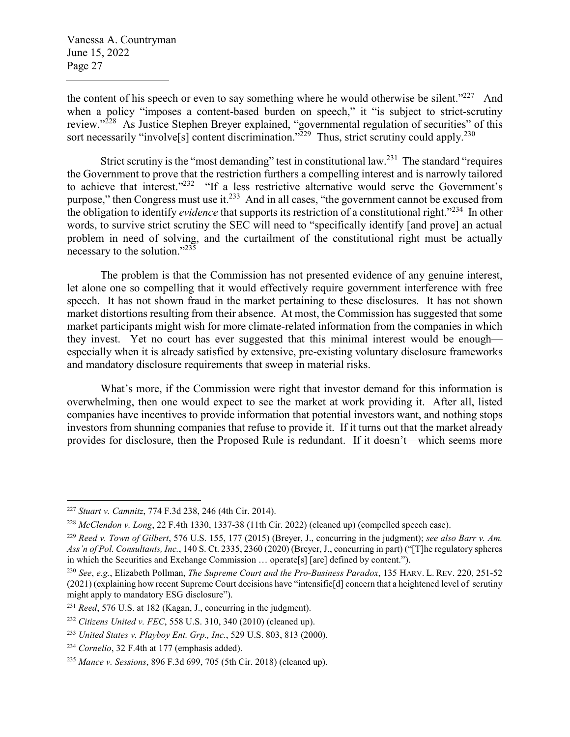the content of his speech or even to say something where he would otherwise be silent."<sup>227</sup> And when a policy "imposes a content-based burden on speech," it "is subject to strict-scrutiny review."<sup>228</sup> As Justice Stephen Breyer explained, "governmental regulation of securities" of this sort necessarily "involve<sup>[s]</sup> content discrimination."<sup>229</sup> Thus, strict scrutiny could apply.<sup>230</sup>

Strict scrutiny is the "most demanding" test in constitutional law.<sup>231</sup> The standard "requires" the Government to prove that the restriction furthers a compelling interest and is narrowly tailored to achieve that interest."<sup>232</sup> "If a less restrictive alternative would serve the Government's purpose," then Congress must use it.<sup>233</sup> And in all cases, "the government cannot be excused from the obligation to identify *evidence* that supports its restriction of a constitutional right."<sup>234</sup> In other words, to survive strict scrutiny the SEC will need to "specifically identify [and prove] an actual problem in need of solving, and the curtailment of the constitutional right must be actually necessary to the solution."<sup>235</sup>

The problem is that the Commission has not presented evidence of any genuine interest, let alone one so compelling that it would effectively require government interference with free speech. It has not shown fraud in the market pertaining to these disclosures. It has not shown market distortions resulting from their absence. At most, the Commission has suggested that some market participants might wish for more climate-related information from the companies in which they invest. Yet no court has ever suggested that this minimal interest would be enough especially when it is already satisfied by extensive, pre-existing voluntary disclosure frameworks and mandatory disclosure requirements that sweep in material risks.

What's more, if the Commission were right that investor demand for this information is overwhelming, then one would expect to see the market at work providing it. After all, listed companies have incentives to provide information that potential investors want, and nothing stops investors from shunning companies that refuse to provide it. If it turns out that the market already provides for disclosure, then the Proposed Rule is redundant. If it doesn't—which seems more

<sup>227</sup> *Stuart v. Camnitz*, 774 F.3d 238, 246 (4th Cir. 2014).

<sup>228</sup> *McClendon v. Long*, 22 F.4th 1330, 1337-38 (11th Cir. 2022) (cleaned up) (compelled speech case).

<sup>229</sup> *Reed v. Town of Gilbert*, 576 U.S. 155, 177 (2015) (Breyer, J., concurring in the judgment); *see also Barr v. Am. Ass'n of Pol. Consultants, Inc.*, 140 S. Ct. 2335, 2360 (2020) (Breyer, J., concurring in part) ("[T]he regulatory spheres in which the Securities and Exchange Commission … operate[s] [are] defined by content.").

<sup>230</sup> *See*, *e.g.*, Elizabeth Pollman, *The Supreme Court and the Pro-Business Paradox*, 135 HARV. L. REV. 220, 251-52 (2021) (explaining how recent Supreme Court decisions have "intensifie[d] concern that a heightened level of scrutiny might apply to mandatory ESG disclosure").

<sup>231</sup> *Reed*, 576 U.S. at 182 (Kagan, J., concurring in the judgment).

<sup>232</sup> *Citizens United v. FEC*, 558 U.S. 310, 340 (2010) (cleaned up).

<sup>233</sup> *United States v. Playboy Ent. Grp., Inc.*, 529 U.S. 803, 813 (2000).

<sup>234</sup> *Cornelio*, 32 F.4th at 177 (emphasis added).

<sup>235</sup> *Mance v. Sessions*, 896 F.3d 699, 705 (5th Cir. 2018) (cleaned up).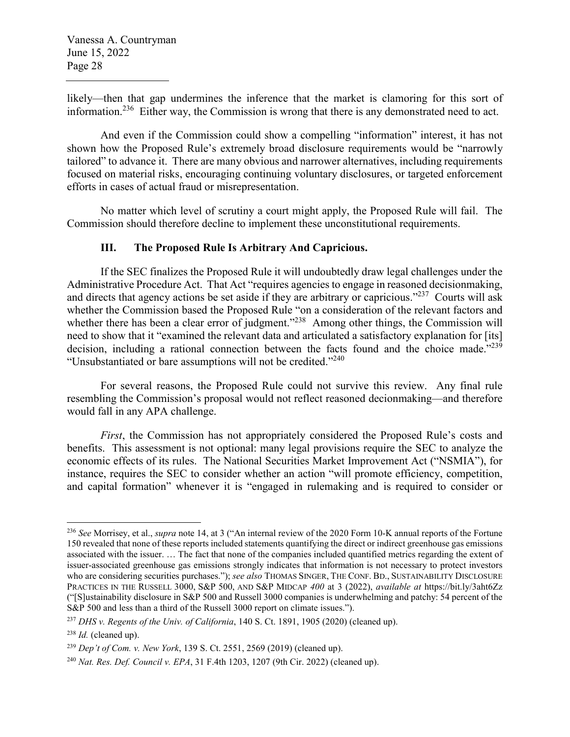likely—then that gap undermines the inference that the market is clamoring for this sort of information.<sup>236</sup> Either way, the Commission is wrong that there is any demonstrated need to act.

And even if the Commission could show a compelling "information" interest, it has not shown how the Proposed Rule's extremely broad disclosure requirements would be "narrowly tailored" to advance it. There are many obvious and narrower alternatives, including requirements focused on material risks, encouraging continuing voluntary disclosures, or targeted enforcement efforts in cases of actual fraud or misrepresentation.

No matter which level of scrutiny a court might apply, the Proposed Rule will fail. The Commission should therefore decline to implement these unconstitutional requirements.

## **III. The Proposed Rule Is Arbitrary And Capricious.**

If the SEC finalizes the Proposed Rule it will undoubtedly draw legal challenges under the Administrative Procedure Act. That Act "requires agencies to engage in reasoned decisionmaking, and directs that agency actions be set aside if they are arbitrary or capricious."<sup>237</sup> Courts will ask whether the Commission based the Proposed Rule "on a consideration of the relevant factors and whether there has been a clear error of judgment."<sup>238</sup> Among other things, the Commission will need to show that it "examined the relevant data and articulated a satisfactory explanation for [its] decision, including a rational connection between the facts found and the choice made."<sup>239</sup> "Unsubstantiated or bare assumptions will not be credited."<sup>240</sup>

For several reasons, the Proposed Rule could not survive this review. Any final rule resembling the Commission's proposal would not reflect reasoned decionmaking—and therefore would fall in any APA challenge.

*First*, the Commission has not appropriately considered the Proposed Rule's costs and benefits. This assessment is not optional: many legal provisions require the SEC to analyze the economic effects of its rules. The National Securities Market Improvement Act ("NSMIA"), for instance, requires the SEC to consider whether an action "will promote efficiency, competition, and capital formation" whenever it is "engaged in rulemaking and is required to consider or

<sup>236</sup> *See* Morrisey, et al., *supra* note 14, at 3 ("An internal review of the 2020 Form 10-K annual reports of the Fortune 150 revealed that none of these reports included statements quantifying the direct or indirect greenhouse gas emissions associated with the issuer. … The fact that none of the companies included quantified metrics regarding the extent of issuer-associated greenhouse gas emissions strongly indicates that information is not necessary to protect investors who are considering securities purchases."); *see also* THOMAS SINGER, THE CONF. BD., SUSTAINABILITY DISCLOSURE PRACTICES IN THE RUSSELL 3000, S&P 500, AND S&P MIDCAP *400* at 3 (2022), *available at* https://bit.ly/3aht6Zz ("[S]ustainability disclosure in S&P 500 and Russell 3000 companies is underwhelming and patchy: 54 percent of the S&P 500 and less than a third of the Russell 3000 report on climate issues.").

<sup>237</sup> *DHS v. Regents of the Univ. of California*, 140 S. Ct. 1891, 1905 (2020) (cleaned up).

<sup>238</sup> *Id.* (cleaned up).

<sup>239</sup> *Dep't of Com. v. New York*, 139 S. Ct. 2551, 2569 (2019) (cleaned up).

<sup>240</sup> *Nat. Res. Def. Council v. EPA*, 31 F.4th 1203, 1207 (9th Cir. 2022) (cleaned up).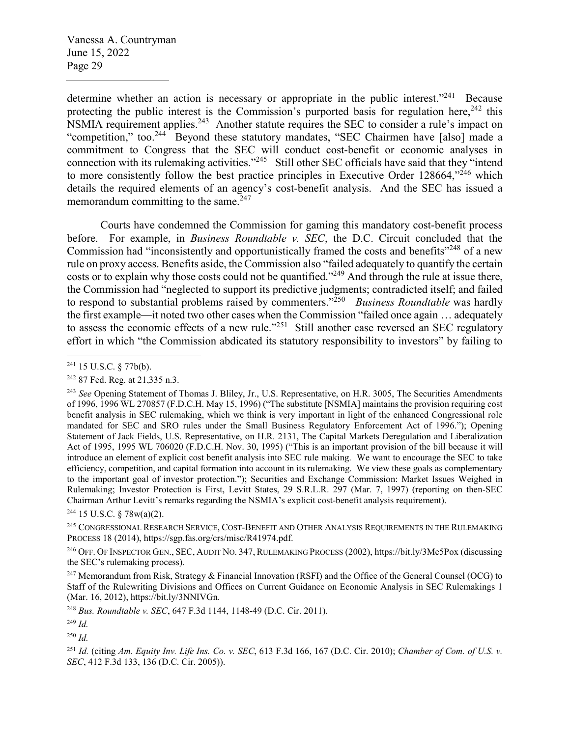determine whether an action is necessary or appropriate in the public interest.<sup>"241</sup> Because protecting the public interest is the Commission's purported basis for regulation here,  $242$  this NSMIA requirement applies.<sup>243</sup> Another statute requires the SEC to consider a rule's impact on "competition," too.<sup>244</sup> Beyond these statutory mandates, "SEC Chairmen have [also] made a commitment to Congress that the SEC will conduct cost-benefit or economic analyses in connection with its rulemaking activities."<sup>245</sup> Still other SEC officials have said that they "intend to more consistently follow the best practice principles in Executive Order  $128664$ ,<sup> $246$ </sup> which details the required elements of an agency's cost-benefit analysis. And the SEC has issued a memorandum committing to the same. $247$ 

Courts have condemned the Commission for gaming this mandatory cost-benefit process before. For example, in *Business Roundtable v. SEC*, the D.C. Circuit concluded that the Commission had "inconsistently and opportunistically framed the costs and benefits"<sup>248</sup> of a new rule on proxy access. Benefits aside, the Commission also "failed adequately to quantify the certain costs or to explain why those costs could not be quantified."<sup>249</sup> And through the rule at issue there, the Commission had "neglected to support its predictive judgments; contradicted itself; and failed to respond to substantial problems raised by commenters."<sup>250</sup> *Business Roundtable* was hardly the first example—it noted two other cases when the Commission "failed once again … adequately to assess the economic effects of a new rule."<sup>251</sup> Still another case reversed an SEC regulatory effort in which "the Commission abdicated its statutory responsibility to investors" by failing to

 $244$  15 U.S.C. § 78w(a)(2).

<sup>245</sup> CONGRESSIONAL RESEARCH SERVICE, COST-BENEFIT AND OTHER ANALYSIS REQUIREMENTS IN THE RULEMAKING PROCESS 18 (2014), https://sgp.fas.org/crs/misc/R41974.pdf.

<sup>246</sup> OFF. OF INSPECTOR GEN., SEC, AUDIT NO. 347, RULEMAKING PROCESS (2002), https://bit.ly/3Me5Pox (discussing the SEC's rulemaking process).

<sup>247</sup> Memorandum from Risk, Strategy & Financial Innovation (RSFI) and the Office of the General Counsel (OCG) to Staff of the Rulewriting Divisions and Offices on Current Guidance on Economic Analysis in SEC Rulemakings 1 (Mar. 16, 2012), https://bit.ly/3NNIVGn.

<sup>248</sup> *Bus. Roundtable v. SEC*, 647 F.3d 1144, 1148-49 (D.C. Cir. 2011).

<sup>249</sup> *Id.*

 $^{250}$  *Id.* 

<sup>251</sup> *Id.* (citing *Am. Equity Inv. Life Ins. Co. v. SEC*, 613 F.3d 166, 167 (D.C. Cir. 2010); *Chamber of Com. of U.S. v. SEC*, 412 F.3d 133, 136 (D.C. Cir. 2005)).

<sup>241</sup> 15 U.S.C. § 77b(b).

<sup>242</sup> 87 Fed. Reg. at 21,335 n.3.

<sup>243</sup> *See* Opening Statement of Thomas J. Bliley, Jr., U.S. Representative, on H.R. 3005, The Securities Amendments of 1996, 1996 WL 270857 (F.D.C.H. May 15, 1996) ("The substitute [NSMIA] maintains the provision requiring cost benefit analysis in SEC rulemaking, which we think is very important in light of the enhanced Congressional role mandated for SEC and SRO rules under the Small Business Regulatory Enforcement Act of 1996."); Opening Statement of Jack Fields, U.S. Representative, on H.R. 2131, The Capital Markets Deregulation and Liberalization Act of 1995, 1995 WL 706020 (F.D.C.H. Nov. 30, 1995) ("This is an important provision of the bill because it will introduce an element of explicit cost benefit analysis into SEC rule making. We want to encourage the SEC to take efficiency, competition, and capital formation into account in its rulemaking. We view these goals as complementary to the important goal of investor protection."); Securities and Exchange Commission: Market Issues Weighed in Rulemaking; Investor Protection is First, Levitt States, 29 S.R.L.R. 297 (Mar. 7, 1997) (reporting on then-SEC Chairman Arthur Levitt's remarks regarding the NSMIA's explicit cost-benefit analysis requirement).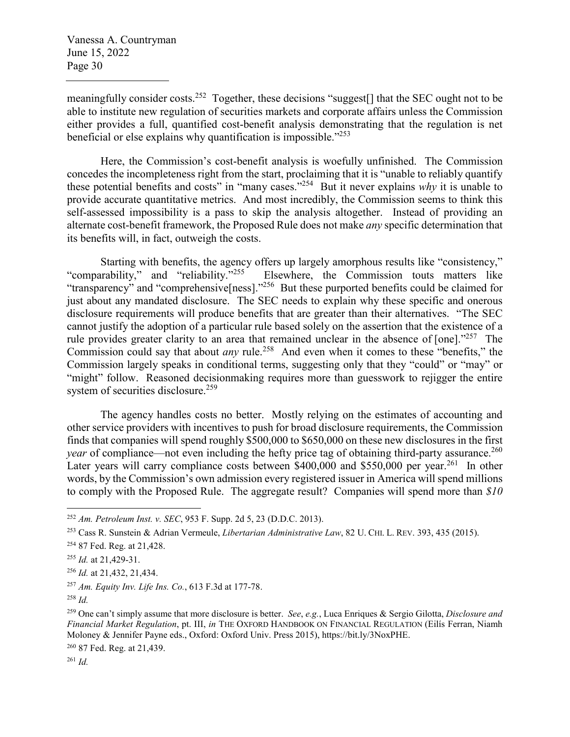meaningfully consider costs.<sup>252</sup> Together, these decisions "suggest[] that the SEC ought not to be able to institute new regulation of securities markets and corporate affairs unless the Commission either provides a full, quantified cost-benefit analysis demonstrating that the regulation is net beneficial or else explains why quantification is impossible."<sup>253</sup>

Here, the Commission's cost-benefit analysis is woefully unfinished. The Commission concedes the incompleteness right from the start, proclaiming that it is "unable to reliably quantify these potential benefits and costs" in "many cases."<sup>254</sup> But it never explains *why* it is unable to provide accurate quantitative metrics. And most incredibly, the Commission seems to think this self-assessed impossibility is a pass to skip the analysis altogether. Instead of providing an alternate cost-benefit framework, the Proposed Rule does not make *any* specific determination that its benefits will, in fact, outweigh the costs.

Starting with benefits, the agency offers up largely amorphous results like "consistency,"<br>"comparability," and "reliability."<sup>255</sup> Elsewhere, the Commission touts matters like Elsewhere, the Commission touts matters like "transparency" and "comprehensive[ness]."<sup>256</sup> But these purported benefits could be claimed for just about any mandated disclosure. The SEC needs to explain why these specific and onerous disclosure requirements will produce benefits that are greater than their alternatives. "The SEC cannot justify the adoption of a particular rule based solely on the assertion that the existence of a rule provides greater clarity to an area that remained unclear in the absence of [one]."<sup>257</sup> The Commission could say that about *any* rule.<sup>258</sup> And even when it comes to these "benefits," the Commission largely speaks in conditional terms, suggesting only that they "could" or "may" or "might" follow. Reasoned decisionmaking requires more than guesswork to rejigger the entire system of securities disclosure.<sup>259</sup>

The agency handles costs no better. Mostly relying on the estimates of accounting and other service providers with incentives to push for broad disclosure requirements, the Commission finds that companies will spend roughly \$500,000 to \$650,000 on these new disclosures in the first *year* of compliance—not even including the hefty price tag of obtaining third-party assurance.<sup>260</sup> Later years will carry compliance costs between \$400,000 and \$550,000 per year.<sup>261</sup> In other words, by the Commission's own admission every registered issuer in America will spend millions to comply with the Proposed Rule. The aggregate result? Companies will spend more than *\$10* 

<sup>260</sup> 87 Fed. Reg. at 21,439.

<sup>261</sup> *Id.*

<sup>252</sup> *Am. Petroleum Inst. v. SEC*, 953 F. Supp. 2d 5, 23 (D.D.C. 2013).

<sup>253</sup> Cass R. Sunstein & Adrian Vermeule, *Libertarian Administrative Law*, 82 U. CHI. L. REV. 393, 435 (2015).

<sup>254</sup> 87 Fed. Reg. at 21,428.

<sup>255</sup> *Id.* at 21,429-31.

<sup>256</sup> *Id.* at 21,432, 21,434.

<sup>257</sup> *Am. Equity Inv. Life Ins. Co.*, 613 F.3d at 177-78.

<sup>258</sup> *Id.*

<sup>259</sup> One can't simply assume that more disclosure is better. *See*, *e.g.*, Luca Enriques & Sergio Gilotta, *Disclosure and Financial Market Regulation*, pt. III, *in* THE OXFORD HANDBOOK ON FINANCIAL REGULATION (Eilís Ferran, Niamh Moloney & Jennifer Payne eds., Oxford: Oxford Univ. Press 2015), https://bit.ly/3NoxPHE.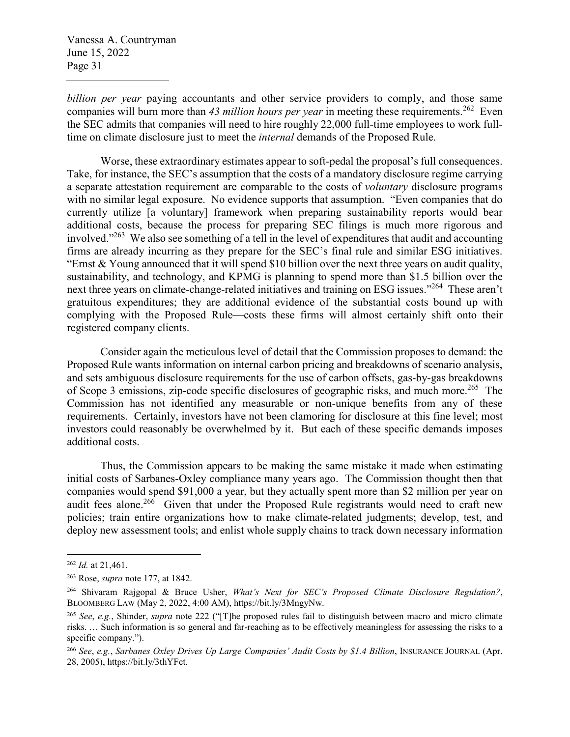*billion per year* paying accountants and other service providers to comply, and those same companies will burn more than 43 million hours per year in meeting these requirements.<sup>262</sup> Even the SEC admits that companies will need to hire roughly 22,000 full-time employees to work fulltime on climate disclosure just to meet the *internal* demands of the Proposed Rule.

Worse, these extraordinary estimates appear to soft-pedal the proposal's full consequences. Take, for instance, the SEC's assumption that the costs of a mandatory disclosure regime carrying a separate attestation requirement are comparable to the costs of *voluntary* disclosure programs with no similar legal exposure. No evidence supports that assumption. "Even companies that do currently utilize [a voluntary] framework when preparing sustainability reports would bear additional costs, because the process for preparing SEC filings is much more rigorous and involved."<sup>263</sup> We also see something of a tell in the level of expenditures that audit and accounting firms are already incurring as they prepare for the SEC's final rule and similar ESG initiatives. "Ernst  $\&$  Young announced that it will spend \$10 billion over the next three years on audit quality, sustainability, and technology, and KPMG is planning to spend more than \$1.5 billion over the next three years on climate-change-related initiatives and training on ESG issues."<sup>264</sup> These aren't gratuitous expenditures; they are additional evidence of the substantial costs bound up with complying with the Proposed Rule—costs these firms will almost certainly shift onto their registered company clients.

Consider again the meticulous level of detail that the Commission proposes to demand: the Proposed Rule wants information on internal carbon pricing and breakdowns of scenario analysis, and sets ambiguous disclosure requirements for the use of carbon offsets, gas-by-gas breakdowns of Scope 3 emissions, zip-code specific disclosures of geographic risks, and much more.<sup>265</sup> The Commission has not identified any measurable or non-unique benefits from any of these requirements. Certainly, investors have not been clamoring for disclosure at this fine level; most investors could reasonably be overwhelmed by it. But each of these specific demands imposes additional costs.

Thus, the Commission appears to be making the same mistake it made when estimating initial costs of Sarbanes-Oxley compliance many years ago. The Commission thought then that companies would spend \$91,000 a year, but they actually spent more than \$2 million per year on audit fees alone.<sup>266</sup> Given that under the Proposed Rule registrants would need to craft new policies; train entire organizations how to make climate-related judgments; develop, test, and deploy new assessment tools; and enlist whole supply chains to track down necessary information

<sup>262</sup> *Id.* at 21,461.

<sup>263</sup> Rose, *supra* note 177, at 1842.

<sup>264</sup> Shivaram Rajgopal & Bruce Usher, *What's Next for SEC's Proposed Climate Disclosure Regulation?*, BLOOMBERG LAW (May 2, 2022, 4:00 AM), https://bit.ly/3MngyNw.

<sup>265</sup> *See*, *e.g.*, Shinder, *supra* note 222 ("[T]he proposed rules fail to distinguish between macro and micro climate risks. … Such information is so general and far-reaching as to be effectively meaningless for assessing the risks to a specific company.").

<sup>266</sup> *See*, *e.g.*, *Sarbanes Oxley Drives Up Large Companies' Audit Costs by \$1.4 Billion*, INSURANCE JOURNAL (Apr. 28, 2005), https://bit.ly/3thYFct.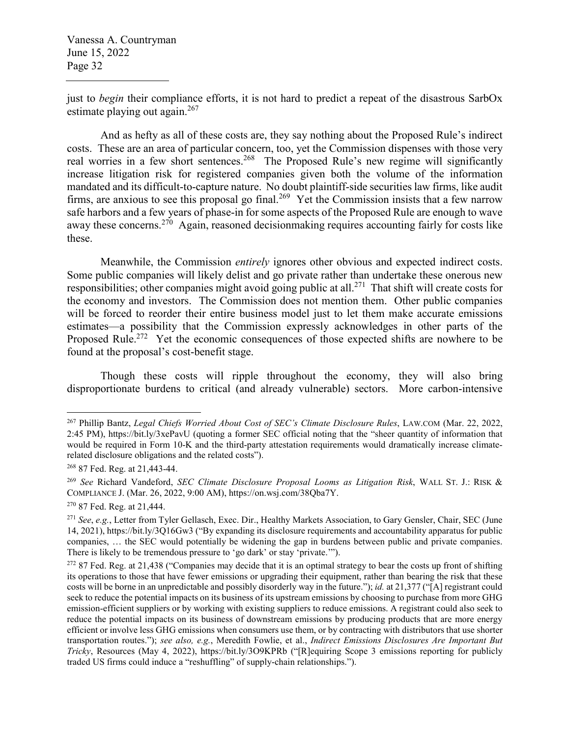just to *begin* their compliance efforts, it is not hard to predict a repeat of the disastrous SarbOx estimate playing out again. $267$ 

And as hefty as all of these costs are, they say nothing about the Proposed Rule's indirect costs. These are an area of particular concern, too, yet the Commission dispenses with those very real worries in a few short sentences.<sup>268</sup> The Proposed Rule's new regime will significantly increase litigation risk for registered companies given both the volume of the information mandated and its difficult-to-capture nature. No doubt plaintiff-side securities law firms, like audit firms, are anxious to see this proposal go final.<sup>269</sup> Yet the Commission insists that a few narrow safe harbors and a few years of phase-in for some aspects of the Proposed Rule are enough to wave away these concerns.<sup>270</sup> Again, reasoned decisionmaking requires accounting fairly for costs like these.

Meanwhile, the Commission *entirely* ignores other obvious and expected indirect costs. Some public companies will likely delist and go private rather than undertake these onerous new responsibilities; other companies might avoid going public at all.<sup>271</sup> That shift will create costs for the economy and investors. The Commission does not mention them. Other public companies will be forced to reorder their entire business model just to let them make accurate emissions estimates—a possibility that the Commission expressly acknowledges in other parts of the Proposed Rule.<sup>272</sup> Yet the economic consequences of those expected shifts are nowhere to be found at the proposal's cost-benefit stage.

Though these costs will ripple throughout the economy, they will also bring disproportionate burdens to critical (and already vulnerable) sectors. More carbon-intensive

<sup>267</sup> Phillip Bantz, *Legal Chiefs Worried About Cost of SEC's Climate Disclosure Rules*, LAW.COM (Mar. 22, 2022, 2:45 PM), https://bit.ly/3xePavU (quoting a former SEC official noting that the "sheer quantity of information that would be required in Form 10-K and the third-party attestation requirements would dramatically increase climaterelated disclosure obligations and the related costs").

<sup>268</sup> 87 Fed. Reg. at 21,443-44.

<sup>269</sup> *See* Richard Vandeford, *SEC Climate Disclosure Proposal Looms as Litigation Risk*, WALL ST. J.: RISK & COMPLIANCE J. (Mar. 26, 2022, 9:00 AM), https://on.wsj.com/38Qba7Y.

<sup>270</sup> 87 Fed. Reg. at 21,444.

<sup>271</sup> *See*, *e.g.*, Letter from Tyler Gellasch, Exec. Dir., Healthy Markets Association, to Gary Gensler, Chair, SEC (June 14, 2021), https://bit.ly/3Q16Gw3 ("By expanding its disclosure requirements and accountability apparatus for public companies, … the SEC would potentially be widening the gap in burdens between public and private companies. There is likely to be tremendous pressure to 'go dark' or stay 'private.'").

 $272$  87 Fed. Reg. at 21,438 ("Companies may decide that it is an optimal strategy to bear the costs up front of shifting its operations to those that have fewer emissions or upgrading their equipment, rather than bearing the risk that these costs will be borne in an unpredictable and possibly disorderly way in the future."); *id.* at 21,377 ("[A] registrant could seek to reduce the potential impacts on its business of its upstream emissions by choosing to purchase from more GHG emission-efficient suppliers or by working with existing suppliers to reduce emissions. A registrant could also seek to reduce the potential impacts on its business of downstream emissions by producing products that are more energy efficient or involve less GHG emissions when consumers use them, or by contracting with distributors that use shorter transportation routes."); *see also, e.g.*, Meredith Fowlie, et al., *Indirect Emissions Disclosures Are Important But Tricky*, Resources (May 4, 2022), https://bit.ly/3O9KPRb ("[R]equiring Scope 3 emissions reporting for publicly traded US firms could induce a "reshuffling" of supply-chain relationships.").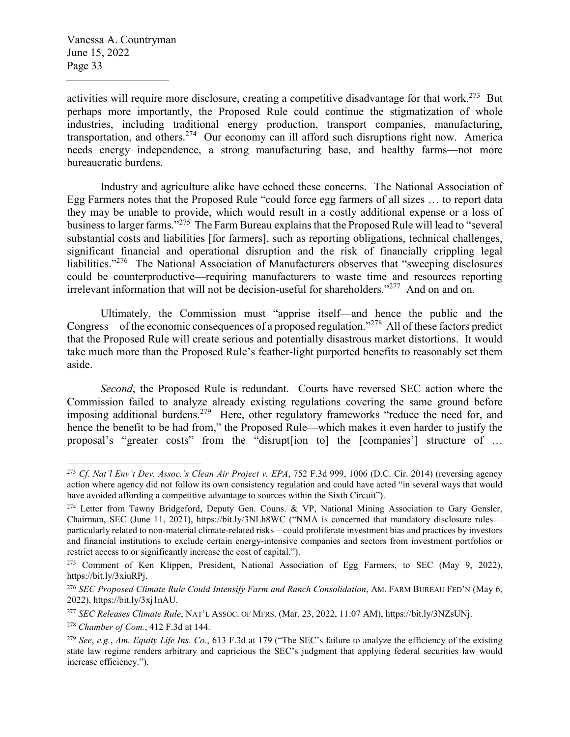activities will require more disclosure, creating a competitive disadvantage for that work.<sup>273</sup> But perhaps more importantly, the Proposed Rule could continue the stigmatization of whole industries, including traditional energy production, transport companies, manufacturing, transportation, and others.<sup>274</sup> Our economy can ill afford such disruptions right now. America needs energy independence, a strong manufacturing base, and healthy farms—not more bureaucratic burdens.

Industry and agriculture alike have echoed these concerns. The National Association of Egg Farmers notes that the Proposed Rule "could force egg farmers of all sizes … to report data they may be unable to provide, which would result in a costly additional expense or a loss of business to larger farms."<sup>275</sup> The Farm Bureau explains that the Proposed Rule will lead to "several substantial costs and liabilities [for farmers], such as reporting obligations, technical challenges, significant financial and operational disruption and the risk of financially crippling legal liabilities."<sup>276</sup> The National Association of Manufacturers observes that "sweeping disclosures" could be counterproductive—requiring manufacturers to waste time and resources reporting irrelevant information that will not be decision-useful for shareholders."<sup>277</sup> And on and on.

Ultimately, the Commission must "apprise itself—and hence the public and the Congress—of the economic consequences of a proposed regulation."<sup>278</sup> All of these factors predict that the Proposed Rule will create serious and potentially disastrous market distortions. It would take much more than the Proposed Rule's feather-light purported benefits to reasonably set them aside.

*Second*, the Proposed Rule is redundant. Courts have reversed SEC action where the Commission failed to analyze already existing regulations covering the same ground before imposing additional burdens.<sup>279</sup> Here, other regulatory frameworks "reduce the need for, and hence the benefit to be had from," the Proposed Rule—which makes it even harder to justify the proposal's "greater costs" from the "disrupt[ion to] the [companies'] structure of …

<sup>273</sup> *Cf. Nat'l Env't Dev. Assoc.'s Clean Air Project v. EPA*, 752 F.3d 999, 1006 (D.C. Cir. 2014) (reversing agency action where agency did not follow its own consistency regulation and could have acted "in several ways that would have avoided affording a competitive advantage to sources within the Sixth Circuit").

<sup>&</sup>lt;sup>274</sup> Letter from Tawny Bridgeford, Deputy Gen. Couns. & VP, National Mining Association to Gary Gensler, Chairman, SEC (June 11, 2021), https://bit.ly/3NLh8WC ("NMA is concerned that mandatory disclosure rules particularly related to non-material climate-related risks—could proliferate investment bias and practices by investors and financial institutions to exclude certain energy-intensive companies and sectors from investment portfolios or restrict access to or significantly increase the cost of capital.").

<sup>&</sup>lt;sup>275</sup> Comment of Ken Klippen, President, National Association of Egg Farmers, to SEC (May 9, 2022), https://bit.ly/3xiuRPj.

<sup>276</sup> *SEC Proposed Climate Rule Could Intensify Farm and Ranch Consolidation*, AM. FARM BUREAU FED'N (May 6, 2022), https://bit.ly/3xj1nAU.

<sup>277</sup> *SEC Releases Climate Rule*, NAT'L ASSOC. OF MFRS. (Mar. 23, 2022, 11:07 AM), https://bit.ly/3NZsUNj.

<sup>278</sup> *Chamber of Com.*, 412 F.3d at 144.

<sup>279</sup> *See*, *e.g.*, *Am. Equity Life Ins. Co.*, 613 F.3d at 179 ("The SEC's failure to analyze the efficiency of the existing state law regime renders arbitrary and capricious the SEC's judgment that applying federal securities law would increase efficiency.").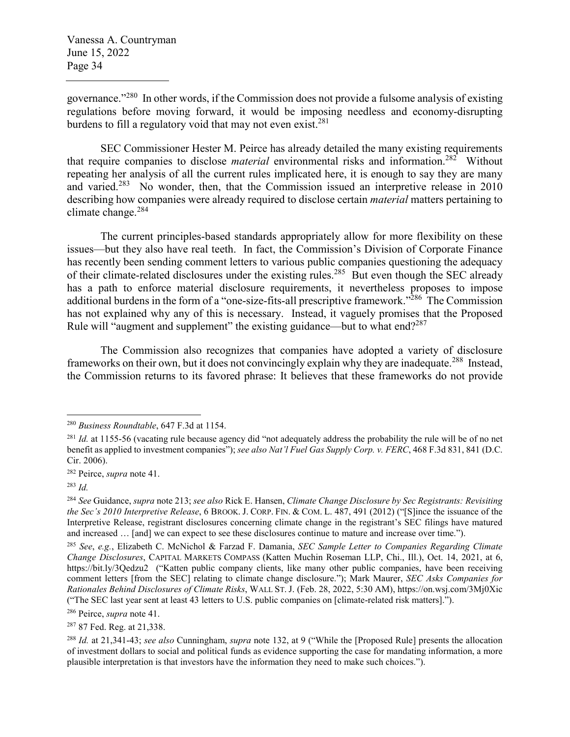governance."<sup>280</sup> In other words, if the Commission does not provide a fulsome analysis of existing regulations before moving forward, it would be imposing needless and economy-disrupting burdens to fill a regulatory void that may not even exist.<sup>281</sup>

SEC Commissioner Hester M. Peirce has already detailed the many existing requirements that require companies to disclose *material* environmental risks and information.<sup>282</sup> Without repeating her analysis of all the current rules implicated here, it is enough to say they are many and varied.<sup>283</sup> No wonder, then, that the Commission issued an interpretive release in 2010 describing how companies were already required to disclose certain *material* matters pertaining to climate change. $284$ 

The current principles-based standards appropriately allow for more flexibility on these issues—but they also have real teeth. In fact, the Commission's Division of Corporate Finance has recently been sending comment letters to various public companies questioning the adequacy of their climate-related disclosures under the existing rules.<sup>285</sup> But even though the SEC already has a path to enforce material disclosure requirements, it nevertheless proposes to impose additional burdens in the form of a "one-size-fits-all prescriptive framework."<sup>286</sup> The Commission has not explained why any of this is necessary. Instead, it vaguely promises that the Proposed Rule will "augment and supplement" the existing guidance—but to what end? $287$ 

The Commission also recognizes that companies have adopted a variety of disclosure frameworks on their own, but it does not convincingly explain why they are inadequate.<sup>288</sup> Instead, the Commission returns to its favored phrase: It believes that these frameworks do not provide

<sup>286</sup> Peirce, *supra* note 41.

<sup>287</sup> 87 Fed. Reg. at 21,338.

<sup>280</sup> *Business Roundtable*, 647 F.3d at 1154.

<sup>&</sup>lt;sup>281</sup> *Id.* at 1155-56 (vacating rule because agency did "not adequately address the probability the rule will be of no net benefit as applied to investment companies"); *see also Nat'l Fuel Gas Supply Corp. v. FERC*, 468 F.3d 831, 841 (D.C. Cir. 2006).

<sup>282</sup> Peirce, *supra* note 41.

<sup>283</sup> *Id.*

<sup>284</sup> *See* Guidance, *supra* note 213; *see also* Rick E. Hansen, *Climate Change Disclosure by Sec Registrants: Revisiting the Sec's 2010 Interpretive Release*, 6 BROOK. J. CORP. FIN. & COM. L. 487, 491 (2012) ("[S]ince the issuance of the Interpretive Release, registrant disclosures concerning climate change in the registrant's SEC filings have matured and increased … [and] we can expect to see these disclosures continue to mature and increase over time.").

<sup>285</sup> *See*, *e.g.*, Elizabeth C. McNichol & Farzad F. Damania, *SEC Sample Letter to Companies Regarding Climate Change Disclosures*, CAPITAL MARKETS COMPASS (Katten Muchin Roseman LLP, Chi., Ill.), Oct. 14, 2021, at 6, https://bit.ly/3Qedzu2 ("Katten public company clients, like many other public companies, have been receiving comment letters [from the SEC] relating to climate change disclosure."); Mark Maurer, *SEC Asks Companies for Rationales Behind Disclosures of Climate Risks*, WALL ST. J. (Feb. 28, 2022, 5:30 AM), https://on.wsj.com/3Mj0Xic ("The SEC last year sent at least 43 letters to U.S. public companies on [climate-related risk matters].").

<sup>288</sup> *Id.* at 21,341-43; *see also* Cunningham, *supra* note 132, at 9 ("While the [Proposed Rule] presents the allocation of investment dollars to social and political funds as evidence supporting the case for mandating information, a more plausible interpretation is that investors have the information they need to make such choices.").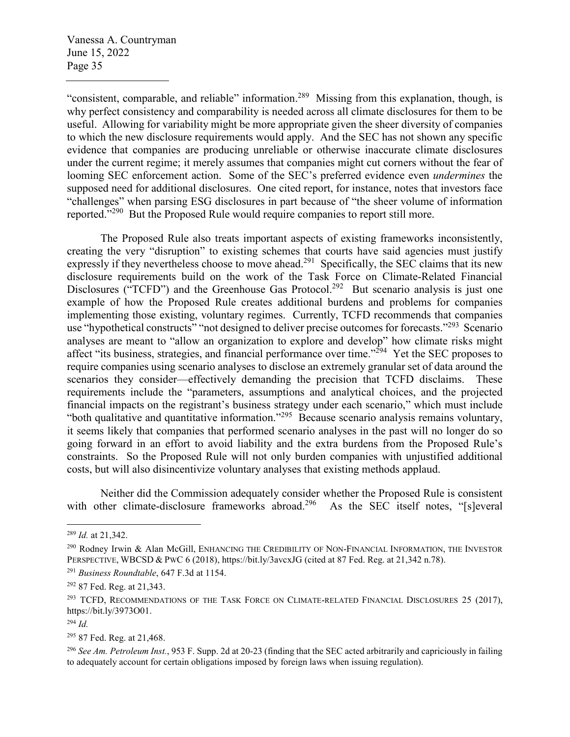"consistent, comparable, and reliable" information.<sup>289</sup> Missing from this explanation, though, is why perfect consistency and comparability is needed across all climate disclosures for them to be useful. Allowing for variability might be more appropriate given the sheer diversity of companies to which the new disclosure requirements would apply. And the SEC has not shown any specific evidence that companies are producing unreliable or otherwise inaccurate climate disclosures under the current regime; it merely assumes that companies might cut corners without the fear of looming SEC enforcement action. Some of the SEC's preferred evidence even *undermines* the supposed need for additional disclosures. One cited report, for instance, notes that investors face "challenges" when parsing ESG disclosures in part because of "the sheer volume of information reported."<sup>290</sup> But the Proposed Rule would require companies to report still more.

The Proposed Rule also treats important aspects of existing frameworks inconsistently, creating the very "disruption" to existing schemes that courts have said agencies must justify expressly if they nevertheless choose to move ahead.<sup>291</sup> Specifically, the SEC claims that its new disclosure requirements build on the work of the Task Force on Climate-Related Financial Disclosures ("TCFD") and the Greenhouse Gas Protocol.<sup>292</sup> But scenario analysis is just one example of how the Proposed Rule creates additional burdens and problems for companies implementing those existing, voluntary regimes. Currently, TCFD recommends that companies use "hypothetical constructs" "not designed to deliver precise outcomes for forecasts."<sup>293</sup> Scenario analyses are meant to "allow an organization to explore and develop" how climate risks might affect "its business, strategies, and financial performance over time."<sup>294</sup> Yet the SEC proposes to require companies using scenario analyses to disclose an extremely granular set of data around the scenarios they consider—effectively demanding the precision that TCFD disclaims. These requirements include the "parameters, assumptions and analytical choices, and the projected financial impacts on the registrant's business strategy under each scenario," which must include "both qualitative and quantitative information."<sup>295</sup> Because scenario analysis remains voluntary, it seems likely that companies that performed scenario analyses in the past will no longer do so going forward in an effort to avoid liability and the extra burdens from the Proposed Rule's constraints. So the Proposed Rule will not only burden companies with unjustified additional costs, but will also disincentivize voluntary analyses that existing methods applaud.

Neither did the Commission adequately consider whether the Proposed Rule is consistent with other climate-disclosure frameworks abroad.<sup>296</sup> As the SEC itself notes, "[s]everal

<sup>289</sup> *Id.* at 21,342.

<sup>&</sup>lt;sup>290</sup> Rodney Irwin & Alan McGill, ENHANCING THE CREDIBILITY OF NON-FINANCIAL INFORMATION, THE INVESTOR PERSPECTIVE, WBCSD & PWC 6 (2018), https://bit.ly/3avcxJG (cited at 87 Fed. Reg. at 21,342 n.78).

<sup>291</sup> *Business Roundtable*, 647 F.3d at 1154.

<sup>292</sup> 87 Fed. Reg. at 21,343.

<sup>&</sup>lt;sup>293</sup> TCFD, RECOMMENDATIONS OF THE TASK FORCE ON CLIMATE-RELATED FINANCIAL DISCLOSURES 25 (2017), https://bit.ly/3973O01.

<sup>294</sup> *Id.*

<sup>295</sup> 87 Fed. Reg. at 21,468.

<sup>296</sup> *See Am. Petroleum Inst.*, 953 F. Supp. 2d at 20-23 (finding that the SEC acted arbitrarily and capriciously in failing to adequately account for certain obligations imposed by foreign laws when issuing regulation).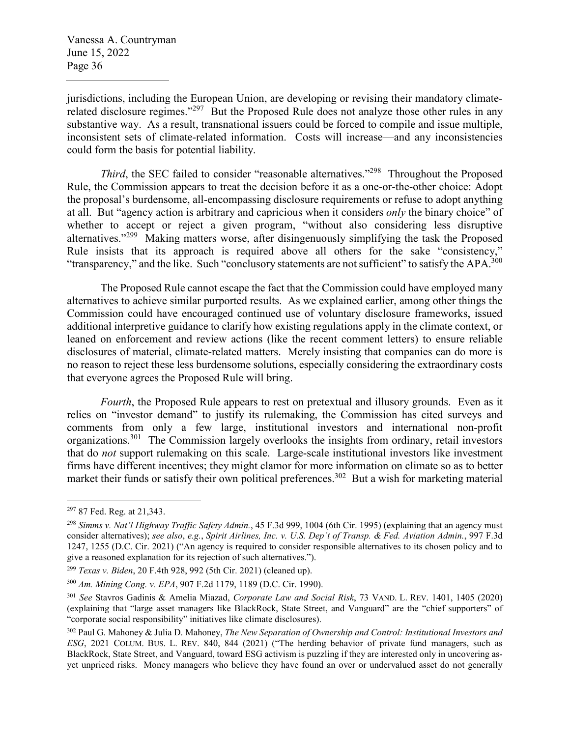jurisdictions, including the European Union, are developing or revising their mandatory climaterelated disclosure regimes."<sup>297</sup> But the Proposed Rule does not analyze those other rules in any substantive way. As a result, transnational issuers could be forced to compile and issue multiple, inconsistent sets of climate-related information. Costs will increase—and any inconsistencies could form the basis for potential liability.

*Third*, the SEC failed to consider "reasonable alternatives."<sup>298</sup> Throughout the Proposed Rule, the Commission appears to treat the decision before it as a one-or-the-other choice: Adopt the proposal's burdensome, all-encompassing disclosure requirements or refuse to adopt anything at all. But "agency action is arbitrary and capricious when it considers *only* the binary choice" of whether to accept or reject a given program, "without also considering less disruptive alternatives."<sup>299</sup> Making matters worse, after disingenuously simplifying the task the Proposed Rule insists that its approach is required above all others for the sake "consistency," "transparency," and the like. Such "conclusory statements are not sufficient" to satisfy the APA.<sup>300</sup>

The Proposed Rule cannot escape the fact that the Commission could have employed many alternatives to achieve similar purported results. As we explained earlier, among other things the Commission could have encouraged continued use of voluntary disclosure frameworks, issued additional interpretive guidance to clarify how existing regulations apply in the climate context, or leaned on enforcement and review actions (like the recent comment letters) to ensure reliable disclosures of material, climate-related matters. Merely insisting that companies can do more is no reason to reject these less burdensome solutions, especially considering the extraordinary costs that everyone agrees the Proposed Rule will bring.

*Fourth*, the Proposed Rule appears to rest on pretextual and illusory grounds. Even as it relies on "investor demand" to justify its rulemaking, the Commission has cited surveys and comments from only a few large, institutional investors and international non-profit organizations.<sup>301</sup> The Commission largely overlooks the insights from ordinary, retail investors that do *not* support rulemaking on this scale. Large-scale institutional investors like investment firms have different incentives; they might clamor for more information on climate so as to better market their funds or satisfy their own political preferences.<sup>302</sup> But a wish for marketing material

<sup>297</sup> 87 Fed. Reg. at 21,343.

<sup>298</sup> *Simms v. Nat'l Highway Traffic Safety Admin.*, 45 F.3d 999, 1004 (6th Cir. 1995) (explaining that an agency must consider alternatives); *see also*, *e.g.*, *Spirit Airlines, Inc. v. U.S. Dep't of Transp. & Fed. Aviation Admin.*, 997 F.3d 1247, 1255 (D.C. Cir. 2021) ("An agency is required to consider responsible alternatives to its chosen policy and to give a reasoned explanation for its rejection of such alternatives.").

<sup>299</sup> *Texas v. Biden*, 20 F.4th 928, 992 (5th Cir. 2021) (cleaned up).

<sup>300</sup> *Am. Mining Cong. v. EPA*, 907 F.2d 1179, 1189 (D.C. Cir. 1990).

<sup>301</sup> *See* Stavros Gadinis & Amelia Miazad, *Corporate Law and Social Risk*, 73 VAND. L. REV. 1401, 1405 (2020) (explaining that "large asset managers like BlackRock, State Street, and Vanguard" are the "chief supporters" of "corporate social responsibility" initiatives like climate disclosures).

<sup>302</sup> Paul G. Mahoney & Julia D. Mahoney, *The New Separation of Ownership and Control: Institutional Investors and ESG*, 2021 COLUM. BUS. L. REV. 840, 844 (2021) ("The herding behavior of private fund managers, such as BlackRock, State Street, and Vanguard, toward ESG activism is puzzling if they are interested only in uncovering asyet unpriced risks. Money managers who believe they have found an over or undervalued asset do not generally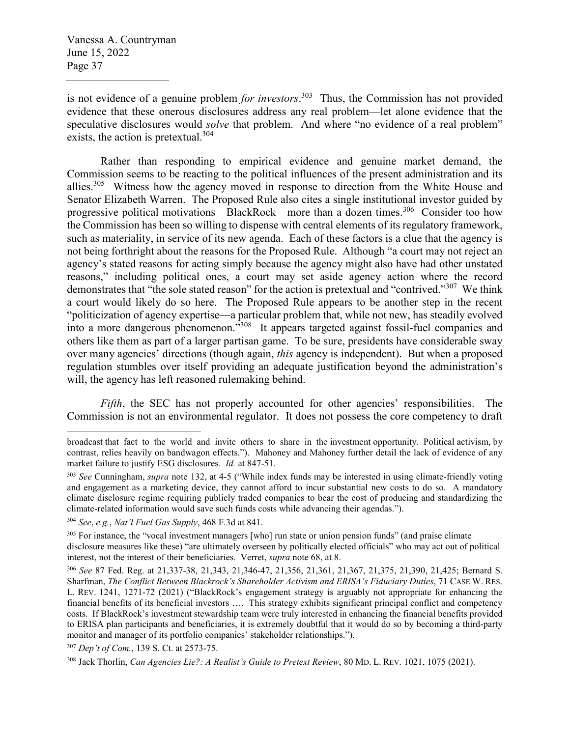is not evidence of a genuine problem *for investors*. <sup>303</sup> Thus, the Commission has not provided evidence that these onerous disclosures address any real problem—let alone evidence that the speculative disclosures would *solve* that problem. And where "no evidence of a real problem" exists, the action is pretextual.<sup>304</sup>

Rather than responding to empirical evidence and genuine market demand, the Commission seems to be reacting to the political influences of the present administration and its allies.<sup>305</sup> Witness how the agency moved in response to direction from the White House and Senator Elizabeth Warren. The Proposed Rule also cites a single institutional investor guided by progressive political motivations—BlackRock—more than a dozen times.<sup>306</sup> Consider too how the Commission has been so willing to dispense with central elements of its regulatory framework, such as materiality, in service of its new agenda. Each of these factors is a clue that the agency is not being forthright about the reasons for the Proposed Rule. Although "a court may not reject an agency's stated reasons for acting simply because the agency might also have had other unstated reasons," including political ones, a court may set aside agency action where the record demonstrates that "the sole stated reason" for the action is pretextual and "contrived."<sup>307</sup> We think a court would likely do so here. The Proposed Rule appears to be another step in the recent "politicization of agency expertise—a particular problem that, while not new, has steadily evolved into a more dangerous phenomenon."<sup>308</sup> It appears targeted against fossil-fuel companies and others like them as part of a larger partisan game. To be sure, presidents have considerable sway over many agencies' directions (though again, *this* agency is independent). But when a proposed regulation stumbles over itself providing an adequate justification beyond the administration's will, the agency has left reasoned rulemaking behind.

*Fifth*, the SEC has not properly accounted for other agencies' responsibilities. The Commission is not an environmental regulator. It does not possess the core competency to draft

broadcast that fact to the world and invite others to share in the investment opportunity. Political activism, by contrast, relies heavily on bandwagon effects."). Mahoney and Mahoney further detail the lack of evidence of any market failure to justify ESG disclosures. *Id.* at 847-51.

<sup>303</sup> *See* Cunningham, *supra* note 132, at 4-5 ("While index funds may be interested in using climate-friendly voting and engagement as a marketing device, they cannot afford to incur substantial new costs to do so. A mandatory climate disclosure regime requiring publicly traded companies to bear the cost of producing and standardizing the climate-related information would save such funds costs while advancing their agendas.").

<sup>304</sup> *See*, *e.g.*, *Nat'l Fuel Gas Supply*, 468 F.3d at 841.

<sup>&</sup>lt;sup>305</sup> For instance, the "vocal investment managers [who] run state or union pension funds" (and praise climate disclosure measures like these) "are ultimately overseen by politically elected officials" who may act out of political interest, not the interest of their beneficiaries. Verret, *supra* note 68, at 8.

<sup>306</sup> *See* 87 Fed. Reg. at 21,337-38, 21,343, 21,346-47, 21,356, 21,361, 21,367, 21,375, 21,390, 21,425; Bernard S. Sharfman, *The Conflict Between Blackrock's Shareholder Activism and ERISA's Fiduciary Duties*, 71 CASE W. RES. L. REV. 1241, 1271-72 (2021) ("BlackRock's engagement strategy is arguably not appropriate for enhancing the financial benefits of its beneficial investors …. This strategy exhibits significant principal conflict and competency costs. If BlackRock's investment stewardship team were truly interested in enhancing the financial benefits provided to ERISA plan participants and beneficiaries, it is extremely doubtful that it would do so by becoming a third-party monitor and manager of its portfolio companies' stakeholder relationships.").

<sup>307</sup> *Dep't of Com.*, 139 S. Ct. at 2573-75.

<sup>308</sup> Jack Thorlin, *Can Agencies Lie?: A Realist's Guide to Pretext Review*, 80 MD. L. REV. 1021, 1075 (2021).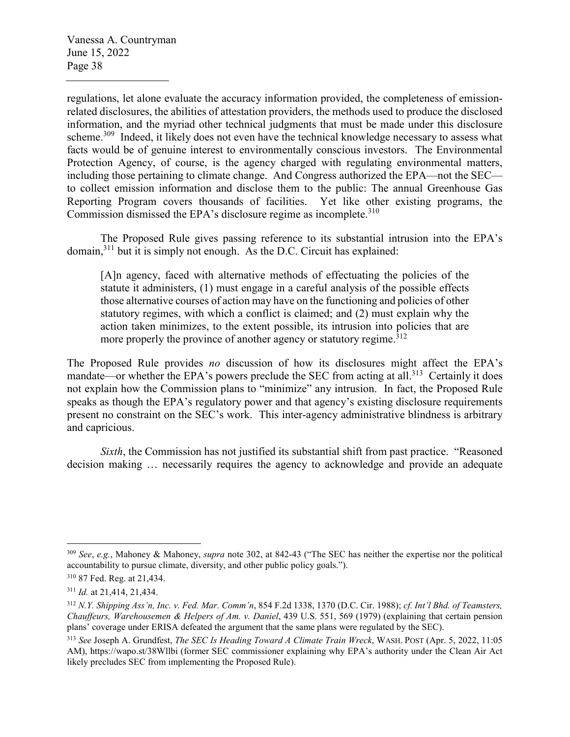regulations, let alone evaluate the accuracy information provided, the completeness of emissionrelated disclosures, the abilities of attestation providers, the methods used to produce the disclosed information, and the myriad other technical judgments that must be made under this disclosure scheme.<sup>309</sup> Indeed, it likely does not even have the technical knowledge necessary to assess what facts would be of genuine interest to environmentally conscious investors. The Environmental Protection Agency, of course, is the agency charged with regulating environmental matters, including those pertaining to climate change. And Congress authorized the EPA—not the SEC to collect emission information and disclose them to the public: The annual Greenhouse Gas Reporting Program covers thousands of facilities. Yet like other existing programs, the Commission dismissed the EPA's disclosure regime as incomplete.<sup>310</sup>

The Proposed Rule gives passing reference to its substantial intrusion into the EPA's domain, $311$  but it is simply not enough. As the D.C. Circuit has explained:

[A]n agency, faced with alternative methods of effectuating the policies of the statute it administers, (1) must engage in a careful analysis of the possible effects those alternative courses of action may have on the functioning and policies of other statutory regimes, with which a conflict is claimed; and (2) must explain why the action taken minimizes, to the extent possible, its intrusion into policies that are more properly the province of another agency or statutory regime.<sup>312</sup>

The Proposed Rule provides *no* discussion of how its disclosures might affect the EPA's mandate—or whether the EPA's powers preclude the SEC from acting at all.<sup>313</sup> Certainly it does not explain how the Commission plans to "minimize" any intrusion. In fact, the Proposed Rule speaks as though the EPA's regulatory power and that agency's existing disclosure requirements present no constraint on the SEC's work. This inter-agency administrative blindness is arbitrary and capricious.

*Sixth*, the Commission has not justified its substantial shift from past practice. "Reasoned decision making … necessarily requires the agency to acknowledge and provide an adequate

<sup>309</sup> *See*, *e.g.*, Mahoney & Mahoney, *supra* note 302, at 842-43 ("The SEC has neither the expertise nor the political accountability to pursue climate, diversity, and other public policy goals.").

<sup>310</sup> 87 Fed. Reg. at 21,434.

<sup>311</sup> *Id.* at 21,414, 21,434.

<sup>312</sup> *N.Y. Shipping Ass'n, Inc. v. Fed. Mar. Comm'n*, 854 F.2d 1338, 1370 (D.C. Cir. 1988); *cf. Int'l Bhd. of Teamsters, Chauffeurs, Warehousemen & Helpers of Am. v. Daniel*, 439 U.S. 551, 569 (1979) (explaining that certain pension plans' coverage under ERISA defeated the argument that the same plans were regulated by the SEC).

<sup>313</sup> *See* Joseph A. Grundfest, *The SEC Is Heading Toward A Climate Train Wreck*, WASH. POST (Apr. 5, 2022, 11:05 AM), https://wapo.st/38Wllbi (former SEC commissioner explaining why EPA's authority under the Clean Air Act likely precludes SEC from implementing the Proposed Rule).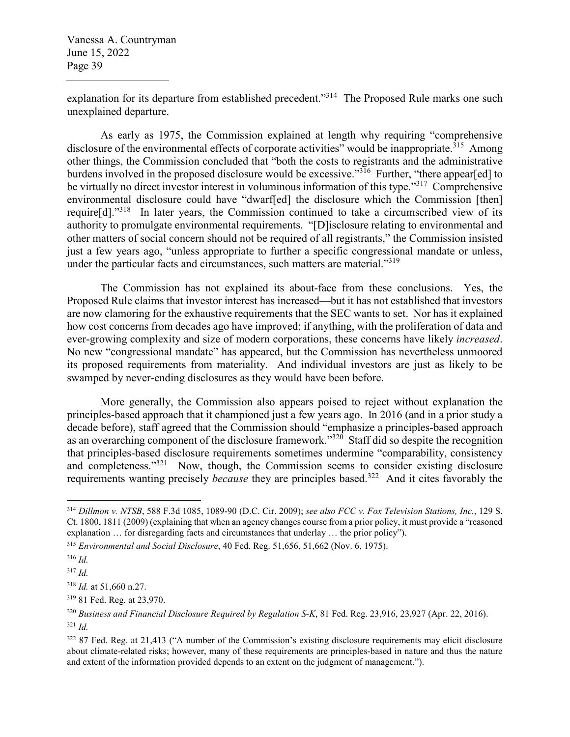explanation for its departure from established precedent."<sup>314</sup> The Proposed Rule marks one such unexplained departure.

As early as 1975, the Commission explained at length why requiring "comprehensive disclosure of the environmental effects of corporate activities" would be inappropriate.<sup>315</sup> Among other things, the Commission concluded that "both the costs to registrants and the administrative burdens involved in the proposed disclosure would be excessive."<sup>316</sup> Further, "there appear[ed] to be virtually no direct investor interest in voluminous information of this type."<sup>317</sup> Comprehensive environmental disclosure could have "dwarf[ed] the disclosure which the Commission [then] require $[d]$ ."<sup>318</sup> In later years, the Commission continued to take a circumscribed view of its authority to promulgate environmental requirements. "[D]isclosure relating to environmental and other matters of social concern should not be required of all registrants," the Commission insisted just a few years ago, "unless appropriate to further a specific congressional mandate or unless, under the particular facts and circumstances, such matters are material."<sup>319</sup>

The Commission has not explained its about-face from these conclusions. Yes, the Proposed Rule claims that investor interest has increased—but it has not established that investors are now clamoring for the exhaustive requirements that the SEC wants to set. Nor has it explained how cost concerns from decades ago have improved; if anything, with the proliferation of data and ever-growing complexity and size of modern corporations, these concerns have likely *increased*. No new "congressional mandate" has appeared, but the Commission has nevertheless unmoored its proposed requirements from materiality. And individual investors are just as likely to be swamped by never-ending disclosures as they would have been before.

More generally, the Commission also appears poised to reject without explanation the principles-based approach that it championed just a few years ago. In 2016 (and in a prior study a decade before), staff agreed that the Commission should "emphasize a principles-based approach as an overarching component of the disclosure framework."<sup>320</sup> Staff did so despite the recognition that principles-based disclosure requirements sometimes undermine "comparability, consistency and completeness."<sup>321</sup> Now, though, the Commission seems to consider existing disclosure requirements wanting precisely *because* they are principles based.<sup>322</sup> And it cites favorably the

<sup>314</sup> *Dillmon v. NTSB*, 588 F.3d 1085, 1089-90 (D.C. Cir. 2009); *see also FCC v. Fox Television Stations, Inc.*, 129 S. Ct. 1800, 1811 (2009) (explaining that when an agency changes course from a prior policy, it must provide a "reasoned explanation … for disregarding facts and circumstances that underlay … the prior policy").

<sup>315</sup> *Environmental and Social Disclosure*, 40 Fed. Reg. 51,656, 51,662 (Nov. 6, 1975).

<sup>316</sup> *Id.*

<sup>317</sup> *Id.*

<sup>318</sup> *Id.* at 51,660 n.27.

<sup>319</sup> 81 Fed. Reg. at 23,970.

<sup>320</sup> *Business and Financial Disclosure Required by Regulation S-K*, 81 Fed. Reg. 23,916, 23,927 (Apr. 22, 2016). <sup>321</sup> *Id.*

<sup>322 87</sup> Fed. Reg. at 21,413 ("A number of the Commission's existing disclosure requirements may elicit disclosure about climate-related risks; however, many of these requirements are principles-based in nature and thus the nature and extent of the information provided depends to an extent on the judgment of management.").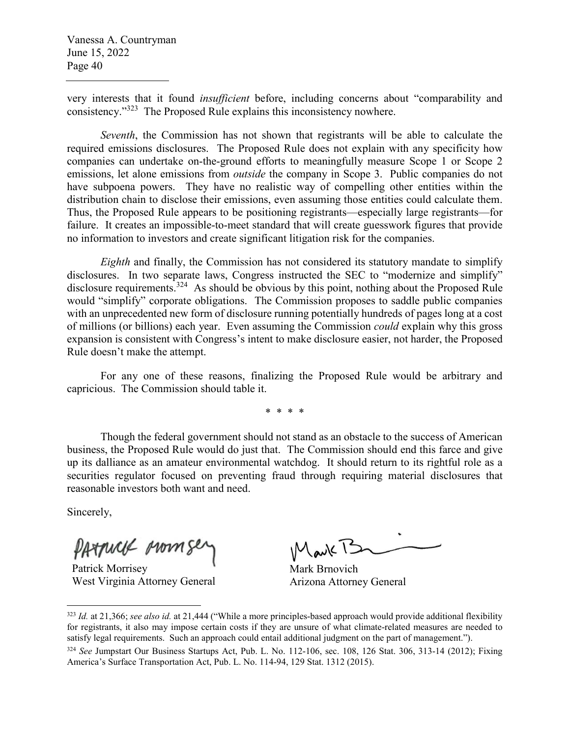very interests that it found *insufficient* before, including concerns about "comparability and consistency."<sup>323</sup> The Proposed Rule explains this inconsistency nowhere.

*Seventh*, the Commission has not shown that registrants will be able to calculate the required emissions disclosures. The Proposed Rule does not explain with any specificity how companies can undertake on-the-ground efforts to meaningfully measure Scope 1 or Scope 2 emissions, let alone emissions from *outside* the company in Scope 3. Public companies do not have subpoena powers. They have no realistic way of compelling other entities within the distribution chain to disclose their emissions, even assuming those entities could calculate them. Thus, the Proposed Rule appears to be positioning registrants—especially large registrants—for failure. It creates an impossible-to-meet standard that will create guesswork figures that provide no information to investors and create significant litigation risk for the companies.

*Eighth* and finally, the Commission has not considered its statutory mandate to simplify disclosures. In two separate laws, Congress instructed the SEC to "modernize and simplify" disclosure requirements.<sup>324</sup> As should be obvious by this point, nothing about the Proposed Rule would "simplify" corporate obligations. The Commission proposes to saddle public companies with an unprecedented new form of disclosure running potentially hundreds of pages long at a cost of millions (or billions) each year. Even assuming the Commission *could* explain why this gross expansion is consistent with Congress's intent to make disclosure easier, not harder, the Proposed Rule doesn't make the attempt.

For any one of these reasons, finalizing the Proposed Rule would be arbitrary and capricious. The Commission should table it.

\* \* \* \*

Though the federal government should not stand as an obstacle to the success of American business, the Proposed Rule would do just that. The Commission should end this farce and give up its dalliance as an amateur environmental watchdog. It should return to its rightful role as a securities regulator focused on preventing fraud through requiring material disclosures that reasonable investors both want and need.

Sincerely,

PATTUCK MOMS

Patrick Morrisey West Virginia Attorney General

Mark Brnovich Arizona Attorney General

<sup>323</sup> *Id.* at 21,366; *see also id.* at 21,444 ("While a more principles-based approach would provide additional flexibility for registrants, it also may impose certain costs if they are unsure of what climate-related measures are needed to satisfy legal requirements. Such an approach could entail additional judgment on the part of management.").

<sup>324</sup> *See* Jumpstart Our Business Startups Act, Pub. L. No. 112-106, sec. 108, 126 Stat. 306, 313-14 (2012); Fixing America's Surface Transportation Act, Pub. L. No. 114-94, 129 Stat. 1312 (2015).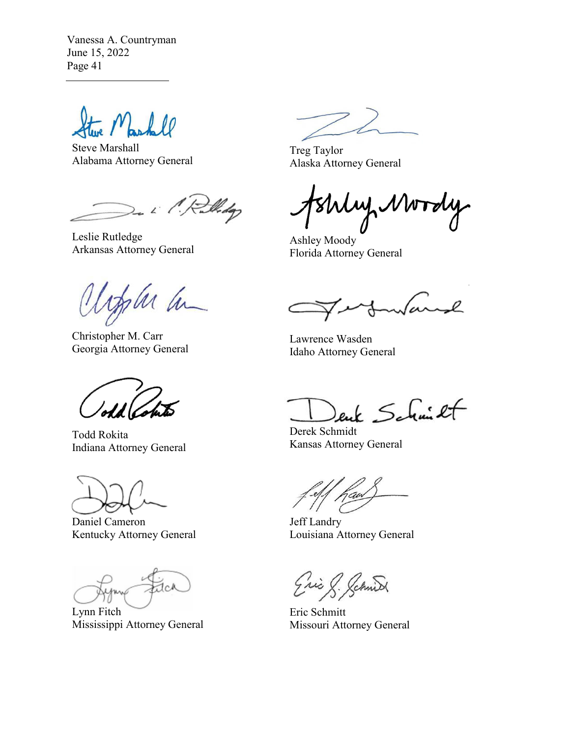Steve Marshall Alabama Attorney General

i 1. Rolliday

Leslie Rutledge Arkansas Attorney General

fla a

Christopher M. Carr Georgia Attorney General

Todd Rokita Indiana Attorney General

Daniel Cameron Kentucky Attorney General

JcA

Lynn Fitch Mississippi Attorney General

Treg Taylor Alaska Attorney General

My Mordy

Ashley Moody Florida Attorney General

warsh

Lawrence Wasden Idaho Attorney General

 $k$  Schmit

Derek Schmidt Kansas Attorney General

Jeff Landry Louisiana Attorney General

(Christ)

Eric Schmitt Missouri Attorney General